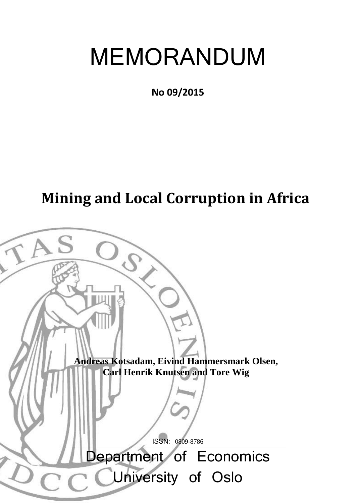# MEMORANDUM

**No 09/2015** 

## **Mining and Local Corruption in Africa**

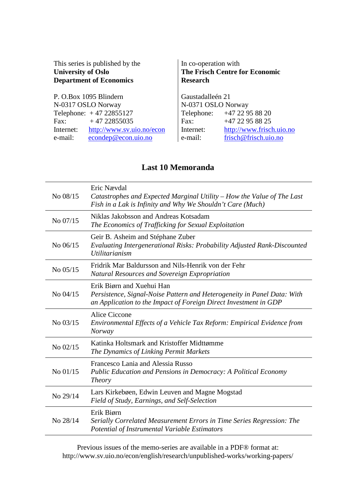| This series is published by the<br><b>University of Oslo</b><br><b>Department of Economics</b> | In co-operation with<br>The Frisch Centre for Economic<br><b>Research</b> |                            |  |
|------------------------------------------------------------------------------------------------|---------------------------------------------------------------------------|----------------------------|--|
| P. O.Box 1095 Blindern                                                                         | Gaustadalleén 21                                                          |                            |  |
| N-0317 OSLO Norway                                                                             | N-0371 OSLO Norway                                                        |                            |  |
| Telephone: $+4722855127$                                                                       |                                                                           | Telephone: +47 22 95 88 20 |  |
| $+4722855035$<br>Fax:                                                                          | Fax:                                                                      | +47 22 95 88 25            |  |
| http://www.sv.uio.no/econ<br>Internet:                                                         | Internet:                                                                 | http://www.frisch.uio.no   |  |
| econdep@econ.uio.no<br>e-mail:                                                                 | e-mail:                                                                   | frisch@frisch.uio.no       |  |

## **Last 10 Memoranda**

| No 08/15   | Eric Nævdal<br>Catastrophes and Expected Marginal Utility – How the Value of The Last<br>Fish in a Lak is Infinity and Why We Shouldn't Care (Much)                      |
|------------|--------------------------------------------------------------------------------------------------------------------------------------------------------------------------|
| No 07/15   | Niklas Jakobsson and Andreas Kotsadam<br>The Economics of Trafficking for Sexual Exploitation                                                                            |
| No 06/15   | Geir B. Asheim and Stéphane Zuber<br>Evaluating Intergenerational Risks: Probability Adjusted Rank-Discounted<br><i>Utilitarianism</i>                                   |
| No 05/15   | Fridrik Mar Baldursson and Nils-Henrik von der Fehr<br>Natural Resources and Sovereign Expropriation                                                                     |
| $No$ 04/15 | Erik Biørn and Xuehui Han<br>Persistence, Signal-Noise Pattern and Heterogeneity in Panel Data: With<br>an Application to the Impact of Foreign Direct Investment in GDP |
| No 03/15   | Alice Ciccone<br>Environmental Effects of a Vehicle Tax Reform: Empirical Evidence from<br><b>Norway</b>                                                                 |
| No 02/15   | Katinka Holtsmark and Kristoffer Midttømme<br>The Dynamics of Linking Permit Markets                                                                                     |
| No 01/15   | Francesco Lania and Alessia Russo<br>Public Education and Pensions in Democracy: A Political Economy<br><i>Theory</i>                                                    |
| No 29/14   | Lars Kirkebøen, Edwin Leuven and Magne Mogstad<br>Field of Study, Earnings, and Self-Selection                                                                           |
| No 28/14   | Erik Biørn<br>Serially Correlated Measurement Errors in Time Series Regression: The<br>Potential of Instrumental Variable Estimators                                     |

Previous issues of the memo-series are available in a PDF® format at: http://www.sv.uio.no/econ/english/research/unpublished-works/working-papers/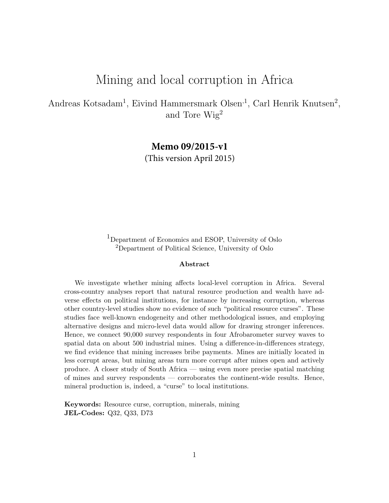## Mining and local corruption in Africa

Andreas Kotsadam<sup>1</sup>, Eivind Hammersmark Olsen<sup>,1</sup>, Carl Henrik Knutsen<sup>2</sup>, and Tore Wig<sup>2</sup>

**Memo 09/2015-v1**

(This version April 2015)

<sup>1</sup>Department of Economics and ESOP, University of Oslo <sup>2</sup>Department of Political Science, University of Oslo

#### Abstract

We investigate whether mining affects local-level corruption in Africa. Several cross-country analyses report that natural resource production and wealth have adverse effects on political institutions, for instance by increasing corruption, whereas other country-level studies show no evidence of such "political resource curses". These studies face well-known endogeneity and other methodological issues, and employing alternative designs and micro-level data would allow for drawing stronger inferences. Hence, we connect 90,000 survey respondents in four Afrobarometer survey waves to spatial data on about 500 industrial mines. Using a difference-in-differences strategy, we find evidence that mining increases bribe payments. Mines are initially located in less corrupt areas, but mining areas turn more corrupt after mines open and actively produce. A closer study of South Africa — using even more precise spatial matching of mines and survey respondents — corroborates the continent-wide results. Hence, mineral production is, indeed, a "curse" to local institutions.

Keywords: Resource curse, corruption, minerals, mining JEL-Codes: Q32, Q33, D73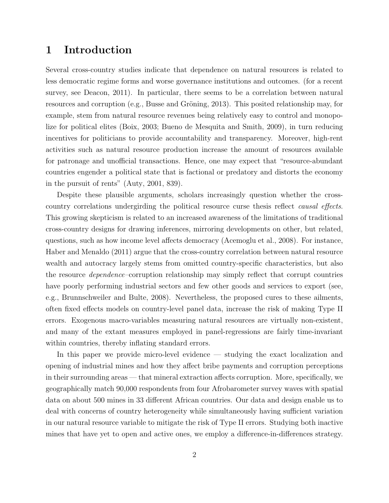## 1 Introduction

Several cross-country studies indicate that dependence on natural resources is related to less democratic regime forms and worse governance institutions and outcomes. (for a recent survey, see [Deacon, 2011\)](#page-30-0). In particular, there seems to be a correlation between natural resources and corruption (e.g., Busse and Gröning, 2013). This posited relationship may, for example, stem from natural resource revenues being relatively easy to control and monopolize for political elites [\(Boix, 2003;](#page-30-2) [Bueno de Mesquita and Smith, 2009\)](#page-30-3), in turn reducing incentives for politicians to provide accountability and transparency. Moreover, high-rent activities such as natural resource production increase the amount of resources available for patronage and unofficial transactions. Hence, one may expect that "resource-abundant countries engender a political state that is factional or predatory and distorts the economy in the pursuit of rents" [\(Auty, 2001,](#page-29-0) 839).

Despite these plausible arguments, scholars increasingly question whether the crosscountry correlations undergirding the political resource curse thesis reflect causal effects. This growing skepticism is related to an increased awareness of the limitations of traditional cross-country designs for drawing inferences, mirroring developments on other, but related, questions, such as how income level affects democracy [\(Acemoglu et al., 2008\)](#page-29-1). For instance, [Haber and Menaldo](#page-31-0) [\(2011\)](#page-31-0) argue that the cross-country correlation between natural resource wealth and autocracy largely stems from omitted country-specific characteristics, but also the resource dependence–corruption relationship may simply reflect that corrupt countries have poorly performing industrial sectors and few other goods and services to export (see, e.g., [Brunnschweiler and Bulte, 2008\)](#page-30-4). Nevertheless, the proposed cures to these ailments, often fixed effects models on country-level panel data, increase the risk of making Type II errors. Exogenous macro-variables measuring natural resources are virtually non-existent, and many of the extant measures employed in panel-regressions are fairly time-invariant within countries, thereby inflating standard errors.

In this paper we provide micro-level evidence — studying the exact localization and opening of industrial mines and how they affect bribe payments and corruption perceptions in their surrounding areas — that mineral extraction affects corruption. More, specifically, we geographically match 90,000 respondents from four Afrobarometer survey waves with spatial data on about 500 mines in 33 different African countries. Our data and design enable us to deal with concerns of country heterogeneity while simultaneously having sufficient variation in our natural resource variable to mitigate the risk of Type II errors. Studying both inactive mines that have yet to open and active ones, we employ a difference-in-differences strategy.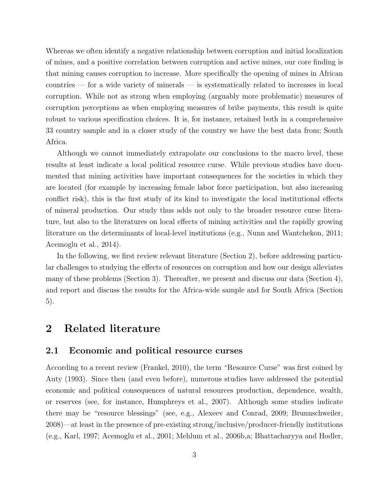Whereas we often identify a negative relationship between corruption and initial localization of mines, and a positive correlation between corruption and active mines, our core finding is that mining causes corruption to increase. More specifically the opening of mines in African countries — for a wide variety of minerals — is systematically related to increases in local corruption. While not as strong when employing (arguably more problematic) measures of corruption perceptions as when employing measures of bribe payments, this result is quite robust to various specification choices. It is, for instance, retained both in a comprehensive 33 country sample and in a closer study of the country we have the best data from; South Africa.

Although we cannot immediately extrapolate our conclusions to the macro level, these results at least indicate a local political resource curse. While previous studies have documented that mining activities have important consequences for the societies in which they are located (for example by increasing female labor force participation, but also increasing conflict risk), this is the first study of its kind to investigate the local institutional effects of mineral production. Our study thus adds not only to the broader resource curse literature, but also to the literatures on local effects of mining activities and the rapidly growing literature on the determinants of local-level institutions (e.g., [Nunn and Wantchekon, 2011;](#page-32-0) [Acemoglu et al., 2014\)](#page-29-2).

In the following, we first review relevant literature (Section [2\)](#page-4-0), before addressing particular challenges to studying the effects of resources on corruption and how our design alleviates many of these problems (Section [3\)](#page-8-0). Thereafter, we present and discuss our data (Section [4\)](#page-11-0), and report and discuss the results for the Africa-wide sample and for South Africa (Section [5\)](#page-21-0).

## <span id="page-4-0"></span>2 Related literature

#### 2.1 Economic and political resource curses

According to a recent review [\(Frankel, 2010\)](#page-31-1), the term "Resource Curse" was first coined by [Auty](#page-29-3) [\(1993\)](#page-29-3). Since then (and even before), numerous studies have addressed the potential economic and political consequences of natural resources production, dependence, wealth, or reserves (see, for instance, [Humphreys et al., 2007\)](#page-31-2). Although some studies indicate there may be "resource blessings" (see, e.g., [Alexeev and Conrad, 2009;](#page-29-4) [Brunnschweiler,](#page-30-5) [2008\)](#page-30-5)—at least in the presence of pre-existing strong/inclusive/producer-friendly institutions (e.g., [Karl, 1997;](#page-31-3) [Acemoglu et al., 2001;](#page-29-5) [Mehlum et al., 2006b](#page-32-1)[,a;](#page-32-2) [Bhattacharyya and Hodler,](#page-29-6)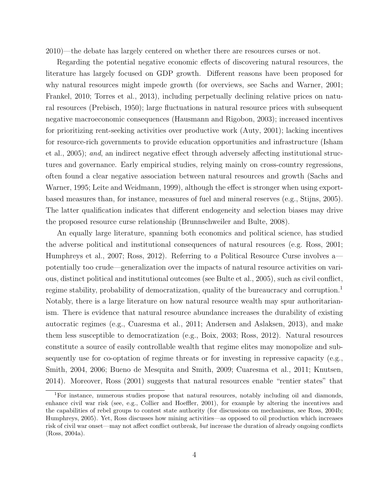[2010\)](#page-29-6)—the debate has largely centered on whether there are resources curses or not.

Regarding the potential negative economic effects of discovering natural resources, the literature has largely focused on GDP growth. Different reasons have been proposed for why natural resources might impede growth (for overviews, see [Sachs and Warner, 2001;](#page-33-0) [Frankel, 2010;](#page-31-1) [Torres et al., 2013\)](#page-33-1), including perpetually declining relative prices on natural resources [\(Prebisch, 1950\)](#page-32-3); large fluctuations in natural resource prices with subsequent negative macroeconomic consequences [\(Hausmann and Rigobon, 2003\)](#page-31-4); increased incentives for prioritizing rent-seeking activities over productive work [\(Auty, 2001\)](#page-29-0); lacking incentives for resource-rich governments to provide education opportunities and infrastructure [\(Isham](#page-31-5) [et al., 2005\)](#page-31-5); and, an indirect negative effect through adversely affecting institutional structures and governance. Early empirical studies, relying mainly on cross-country regressions, often found a clear negative association between natural resources and growth [\(Sachs and](#page-33-2) [Warner, 1995;](#page-33-2) [Leite and Weidmann, 1999\)](#page-31-6), although the effect is stronger when using exportbased measures than, for instance, measures of fuel and mineral reserves (e.g., [Stijns, 2005\)](#page-33-3). The latter qualification indicates that different endogeneity and selection biases may drive the proposed resource curse relationship [\(Brunnschweiler and Bulte, 2008\)](#page-30-4).

An equally large literature, spanning both economics and political science, has studied the adverse political and institutional consequences of natural resources (e.g. [Ross, 2001;](#page-32-4) [Humphreys et al., 2007;](#page-31-2) [Ross, 2012\)](#page-33-4). Referring to a Political Resource Curse involves a potentially too crude—generalization over the impacts of natural resource activities on various, distinct political and institutional outcomes (see [Bulte et al., 2005\)](#page-30-6), such as civil conflict, regime stability, probability of democratization, quality of the bureaucracy and corruption.<sup>[1](#page-5-0)</sup> Notably, there is a large literature on how natural resource wealth may spur authoritarianism. There is evidence that natural resource abundance increases the durability of existing autocratic regimes (e.g., [Cuaresma et al., 2011;](#page-30-7) [Andersen and Aslaksen, 2013\)](#page-29-7), and make them less susceptible to democratization (e.g., [Boix, 2003;](#page-30-2) [Ross, 2012\)](#page-33-4). Natural resources constitute a source of easily controllable wealth that regime elites may monopolize and subsequently use for co-optation of regime threats or for investing in repressive capacity (e.g., [Smith, 2004,](#page-33-5) [2006;](#page-33-6) [Bueno de Mesquita and Smith, 2009;](#page-30-3) [Cuaresma et al., 2011;](#page-30-7) [Knutsen,](#page-31-7) [2014\)](#page-31-7). Moreover, [Ross](#page-32-4) [\(2001\)](#page-32-4) suggests that natural resources enable "rentier states" that

<span id="page-5-0"></span><sup>1</sup>For instance, numerous studies propose that natural resources, notably including oil and diamonds, enhance civil war risk (see, e.g., [Collier and Hoeffler, 2001\)](#page-30-8), for example by altering the incentives and the capabilities of rebel groups to contest state authority (for discussions on mechanisms, see [Ross, 2004b;](#page-33-7) [Humphreys, 2005\)](#page-31-8). Yet, Ross discusses how mining activities—as opposed to oil production which increases risk of civil war onset—may not affect conflict outbreak, but increase the duration of already ongoing conflicts [\(Ross, 2004a\)](#page-32-5).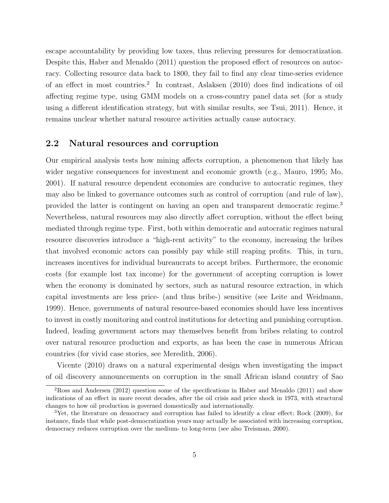escape accountability by providing low taxes, thus relieving pressures for democratization. Despite this, [Haber and Menaldo](#page-31-0) [\(2011\)](#page-31-0) question the proposed effect of resources on autocracy. Collecting resource data back to 1800, they fail to find any clear time-series evidence of an effect in most countries.<sup>[2](#page-6-0)</sup> In contrast, [Aslaksen](#page-29-8) [\(2010\)](#page-29-8) does find indications of oil affecting regime type, using GMM models on a cross-country panel data set (for a study using a different identification strategy, but with similar results, see [Tsui, 2011\)](#page-33-8). Hence, it remains unclear whether natural resource activities actually cause autocracy.

#### 2.2 Natural resources and corruption

Our empirical analysis tests how mining affects corruption, a phenomenon that likely has wider negative consequences for investment and economic growth (e.g., [Mauro, 1995;](#page-31-9) [Mo,](#page-32-6) [2001\)](#page-32-6). If natural resource dependent economies are conducive to autocratic regimes, they may also be linked to governance outcomes such as control of corruption (and rule of law), provided the latter is contingent on having an open and transparent democratic regime.[3](#page-6-1) Nevertheless, natural resources may also directly affect corruption, without the effect being mediated through regime type. First, both within democratic and autocratic regimes natural resource discoveries introduce a "high-rent activity" to the economy, increasing the bribes that involved economic actors can possibly pay while still reaping profits. This, in turn, increases incentives for individual bureaucrats to accept bribes. Furthermore, the economic costs (for example lost tax income) for the government of accepting corruption is lower when the economy is dominated by sectors, such as natural resource extraction, in which capital investments are less price- (and thus bribe-) sensitive (see [Leite and Weidmann,](#page-31-6) [1999\)](#page-31-6). Hence, governments of natural resource-based economies should have less incentives to invest in costly monitoring and control institutions for detecting and punishing corruption. Indeed, leading government actors may themselves benefit from bribes relating to control over natural resource production and exports, as has been the case in numerous African countries (for vivid case stories, see [Meredith, 2006\)](#page-32-7).

[Vicente](#page-33-9) [\(2010\)](#page-33-9) draws on a natural experimental design when investigating the impact of oil discovery announcements on corruption in the small African island country of Sao

<span id="page-6-0"></span><sup>2</sup>[Ross and Andersen](#page-33-10) [\(2012\)](#page-33-10) question some of the specifications in [Haber and Menaldo](#page-31-0) [\(2011\)](#page-31-0) and show indications of an effect in more recent decades, after the oil crisis and price shock in 1973, with structural changes to how oil production is governed domestically and internationally.

<span id="page-6-1"></span><sup>3</sup>Yet, the literature on democracy and corruption has failed to identify a clear effect; [Rock](#page-32-8) [\(2009\)](#page-32-8), for instance, finds that while post-democratization years may actually be associated with increasing corruption, democracy reduces corruption over the medium- to long-term (see also [Treisman, 2000\)](#page-33-11).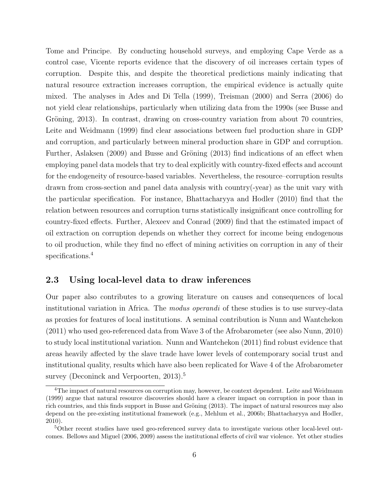Tome and Principe. By conducting household surveys, and employing Cape Verde as a control case, Vicente reports evidence that the discovery of oil increases certain types of corruption. Despite this, and despite the theoretical predictions mainly indicating that natural resource extraction increases corruption, the empirical evidence is actually quite mixed. The analyses in [Ades and Di Tella](#page-29-9) [\(1999\)](#page-29-9), [Treisman](#page-33-11) [\(2000\)](#page-33-11) and [Serra](#page-33-12) [\(2006\)](#page-33-12) do not yield clear relationships, particularly when utilizing data from the 1990s (see [Busse and](#page-30-1) Gröning, 2013). In contrast, drawing on cross-country variation from about 70 countries, [Leite and Weidmann](#page-31-6) [\(1999\)](#page-31-6) find clear associations between fuel production share in GDP and corruption, and particularly between mineral production share in GDP and corruption. Further, [Aslaksen](#page-29-10) [\(2009\)](#page-29-10) and Busse and Gröning [\(2013\)](#page-30-1) find indications of an effect when employing panel data models that try to deal explicitly with country-fixed effects and account for the endogeneity of resource-based variables. Nevertheless, the resource–corruption results drawn from cross-section and panel data analysis with country(-year) as the unit vary with the particular specification. For instance, [Bhattacharyya and Hodler](#page-29-6) [\(2010\)](#page-29-6) find that the relation between resources and corruption turns statistically insignificant once controlling for country-fixed effects. Further, [Alexeev and Conrad](#page-29-4) [\(2009\)](#page-29-4) find that the estimated impact of oil extraction on corruption depends on whether they correct for income being endogenous to oil production, while they find no effect of mining activities on corruption in any of their specifications.<sup>[4](#page-7-0)</sup>

#### 2.3 Using local-level data to draw inferences

Our paper also contributes to a growing literature on causes and consequences of local institutional variation in Africa. The *modus operandi* of these studies is to use survey-data as proxies for features of local institutions. A seminal contribution is [Nunn and Wantchekon](#page-32-0) [\(2011\)](#page-32-0) who used geo-referenced data from Wave 3 of the Afrobarometer (see also [Nunn, 2010\)](#page-32-9) to study local institutional variation. [Nunn and Wantchekon](#page-32-0) [\(2011\)](#page-32-0) find robust evidence that areas heavily affected by the slave trade have lower levels of contemporary social trust and institutional quality, results which have also been replicated for Wave 4 of the Afrobarometer survey (Deconinck and Verpoorten,  $2013$ ).<sup>[5](#page-7-1)</sup>

<span id="page-7-0"></span><sup>&</sup>lt;sup>4</sup>The impact of natural resources on corruption may, however, be context dependent. [Leite and Weidmann](#page-31-6) [\(1999\)](#page-31-6) argue that natural resource discoveries should have a clearer impact on corruption in poor than in rich countries, and this finds support in Busse and Gröning [\(2013\)](#page-30-1). The impact of natural resources may also depend on the pre-existing institutional framework (e.g., [Mehlum et al., 2006b;](#page-32-1) [Bhattacharyya and Hodler,](#page-29-6) [2010\)](#page-29-6).

<span id="page-7-1"></span><sup>5</sup>Other recent studies have used geo-referenced survey data to investigate various other local-level outcomes. [Bellows and Miguel](#page-29-11) [\(2006,](#page-29-11) [2009\)](#page-29-12) assess the institutional effects of civil war violence. Yet other studies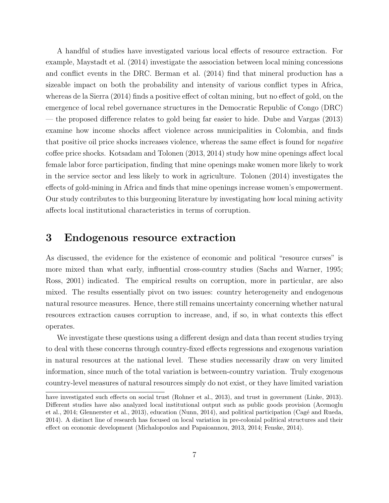A handful of studies have investigated various local effects of resource extraction. For example, [Maystadt et al.](#page-31-10) [\(2014\)](#page-31-10) investigate the association between local mining concessions and conflict events in the DRC. [Berman et al.](#page-29-13) [\(2014\)](#page-29-13) find that mineral production has a sizeable impact on both the probability and intensity of various conflict types in Africa, whereas [de la Sierra](#page-30-10) [\(2014\)](#page-30-10) finds a positive effect of coltan mining, but no effect of gold, on the emergence of local rebel governance structures in the Democratic Republic of Congo (DRC) — the proposed difference relates to gold being far easier to hide. [Dube and Vargas](#page-30-11) [\(2013\)](#page-30-11) examine how income shocks affect violence across municipalities in Colombia, and finds that positive oil price shocks increases violence, whereas the same effect is found for negative coffee price shocks. [Kotsadam and Tolonen](#page-31-11) [\(2013,](#page-31-11) [2014\)](#page-31-12) study how mine openings affect local female labor force participation, finding that mine openings make women more likely to work in the service sector and less likely to work in agriculture. [Tolonen](#page-33-13) [\(2014\)](#page-33-13) investigates the effects of gold-mining in Africa and finds that mine openings increase women's empowerment. Our study contributes to this burgeoning literature by investigating how local mining activity affects local institutional characteristics in terms of corruption.

## <span id="page-8-0"></span>3 Endogenous resource extraction

As discussed, the evidence for the existence of economic and political "resource curses" is more mixed than what early, influential cross-country studies [\(Sachs and Warner, 1995;](#page-33-2) [Ross, 2001\)](#page-32-4) indicated. The empirical results on corruption, more in particular, are also mixed. The results essentially pivot on two issues: country heterogeneity and endogenous natural resource measures. Hence, there still remains uncertainty concerning whether natural resources extraction causes corruption to increase, and, if so, in what contexts this effect operates.

We investigate these questions using a different design and data than recent studies trying to deal with these concerns through country-fixed effects regressions and exogenous variation in natural resources at the national level. These studies necessarily draw on very limited information, since much of the total variation is between-country variation. Truly exogenous country-level measures of natural resources simply do not exist, or they have limited variation

have investigated such effects on social trust [\(Rohner et al., 2013\)](#page-32-10), and trust in government [\(Linke, 2013\)](#page-31-13). Different studies have also analyzed local institutional output such as public goods provision [\(Acemoglu](#page-29-2) [et al., 2014;](#page-29-2) [Glennerster et al., 2013\)](#page-31-14), education [\(Nunn, 2014\)](#page-32-11), and political participation (Cagé and Rueda, [2014\)](#page-30-12). A distinct line of research has focused on local variation in pre-colonial political structures and their effect on economic development [\(Michalopoulos and Papaioannou, 2013,](#page-32-12) [2014;](#page-32-13) [Fenske, 2014\)](#page-30-13).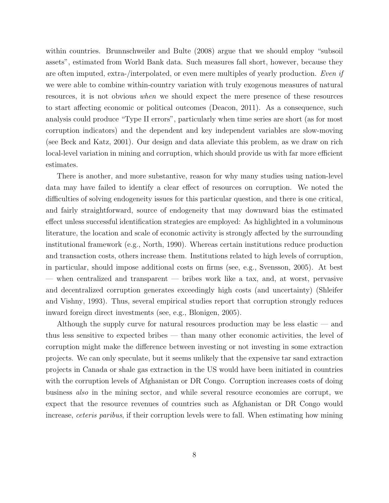within countries. [Brunnschweiler and Bulte](#page-30-4) [\(2008\)](#page-30-4) argue that we should employ "subsoil assets", estimated from World Bank data. Such measures fall short, however, because they are often imputed, extra-/interpolated, or even mere multiples of yearly production. Even if we were able to combine within-country variation with truly exogenous measures of natural resources, it is not obvious when we should expect the mere presence of these resources to start affecting economic or political outcomes [\(Deacon, 2011\)](#page-30-0). As a consequence, such analysis could produce "Type II errors", particularly when time series are short (as for most corruption indicators) and the dependent and key independent variables are slow-moving (see [Beck and Katz, 2001\)](#page-29-14). Our design and data alleviate this problem, as we draw on rich local-level variation in mining and corruption, which should provide us with far more efficient estimates.

There is another, and more substantive, reason for why many studies using nation-level data may have failed to identify a clear effect of resources on corruption. We noted the difficulties of solving endogeneity issues for this particular question, and there is one critical, and fairly straightforward, source of endogeneity that may downward bias the estimated effect unless successful identification strategies are employed: As highlighted in a voluminous literature, the location and scale of economic activity is strongly affected by the surrounding institutional framework (e.g., [North, 1990\)](#page-32-14). Whereas certain institutions reduce production and transaction costs, others increase them. Institutions related to high levels of corruption, in particular, should impose additional costs on firms (see, e.g., [Svensson, 2005\)](#page-33-14). At best — when centralized and transparent — bribes work like a tax, and, at worst, pervasive and decentralized corruption generates exceedingly high costs (and uncertainty) [\(Shleifer](#page-33-15) [and Vishny, 1993\)](#page-33-15). Thus, several empirical studies report that corruption strongly reduces inward foreign direct investments (see, e.g., [Blonigen, 2005\)](#page-30-14).

Although the supply curve for natural resources production may be less elastic — and thus less sensitive to expected bribes — than many other economic activities, the level of corruption might make the difference between investing or not investing in some extraction projects. We can only speculate, but it seems unlikely that the expensive tar sand extraction projects in Canada or shale gas extraction in the US would have been initiated in countries with the corruption levels of Afghanistan or DR Congo. Corruption increases costs of doing business also in the mining sector, and while several resource economies are corrupt, we expect that the resource revenues of countries such as Afghanistan or DR Congo would increase, *ceteris paribus*, if their corruption levels were to fall. When estimating how mining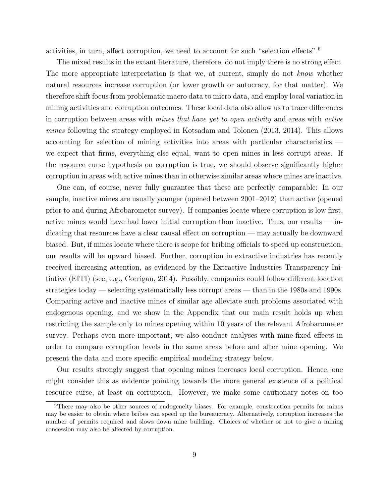activities, in turn, affect corruption, we need to account for such "selection effects".[6](#page-10-0)

The mixed results in the extant literature, therefore, do not imply there is no strong effect. The more appropriate interpretation is that we, at current, simply do not know whether natural resources increase corruption (or lower growth or autocracy, for that matter). We therefore shift focus from problematic macro data to micro data, and employ local variation in mining activities and corruption outcomes. These local data also allow us to trace differences in corruption between areas with mines that have yet to open activity and areas with active mines following the strategy employed in [Kotsadam and Tolonen](#page-31-11) [\(2013,](#page-31-11) [2014\)](#page-31-12). This allows accounting for selection of mining activities into areas with particular characteristics we expect that firms, everything else equal, want to open mines in less corrupt areas. If the resource curse hypothesis on corruption is true, we should observe significantly higher corruption in areas with active mines than in otherwise similar areas where mines are inactive.

One can, of course, never fully guarantee that these are perfectly comparable: In our sample, inactive mines are usually younger (opened between 2001–2012) than active (opened prior to and during Afrobarometer survey). If companies locate where corruption is low first, active mines would have had lower initial corruption than inactive. Thus, our results  $-$  indicating that resources have a clear causal effect on corruption — may actually be downward biased. But, if mines locate where there is scope for bribing officials to speed up construction, our results will be upward biased. Further, corruption in extractive industries has recently received increasing attention, as evidenced by the Extractive Industries Transparency Initiative (EITI) (see, e.g., [Corrigan, 2014\)](#page-30-15). Possibly, companies could follow different location strategies today — selecting systematically less corrupt areas — than in the 1980s and 1990s. Comparing active and inactive mines of similar age alleviate such problems associated with endogenous opening, and we show in the Appendix that our main result holds up when restricting the sample only to mines opening within 10 years of the relevant Afrobarometer survey. Perhaps even more important, we also conduct analyses with mine-fixed effects in order to compare corruption levels in the same areas before and after mine opening. We present the data and more specific empirical modeling strategy below.

Our results strongly suggest that opening mines increases local corruption. Hence, one might consider this as evidence pointing towards the more general existence of a political resource curse, at least on corruption. However, we make some cautionary notes on too

<span id="page-10-0"></span><sup>&</sup>lt;sup>6</sup>There may also be other sources of endogeneity biases. For example, construction permits for mines may be easier to obtain where bribes can speed up the bureaucracy. Alternatively, corruption increases the number of permits required and slows down mine building. Choices of whether or not to give a mining concession may also be affected by corruption.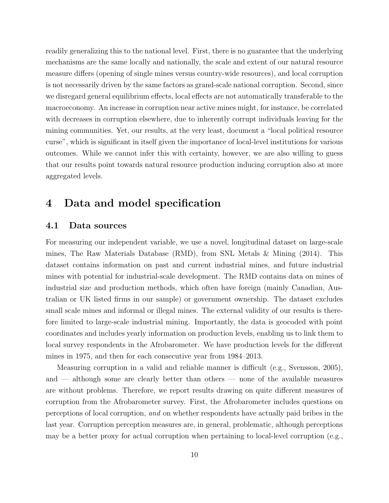readily generalizing this to the national level. First, there is no guarantee that the underlying mechanisms are the same locally and nationally, the scale and extent of our natural resource measure differs (opening of single mines versus country-wide resources), and local corruption is not necessarily driven by the same factors as grand-scale national corruption. Second, since we disregard general equilibrium effects, local effects are not automatically transferable to the macroeconomy. An increase in corruption near active mines might, for instance, be correlated with decreases in corruption elsewhere, due to inherently corrupt individuals leaving for the mining communities. Yet, our results, at the very least, document a "local political resource curse", which is significant in itself given the importance of local-level institutions for various outcomes. While we cannot infer this with certainty, however, we are also willing to guess that our results point towards natural resource production inducing corruption also at more aggregated levels.

## <span id="page-11-0"></span>4 Data and model specification

#### 4.1 Data sources

For measuring our independent variable, we use a novel, longitudinal dataset on large-scale mines, The Raw Materials Database (RMD), from SNL Metals & Mining [\(2014\)](#page-33-16). This dataset contains information on past and current industrial mines, and future industrial mines with potential for industrial-scale development. The RMD contains data on mines of industrial size and production methods, which often have foreign (mainly Canadian, Australian or UK listed firms in our sample) or government ownership. The dataset excludes small scale mines and informal or illegal mines. The external validity of our results is therefore limited to large-scale industrial mining. Importantly, the data is geocoded with point coordinates and includes yearly information on production levels, enabling us to link them to local survey respondents in the Afrobarometer. We have production levels for the different mines in 1975, and then for each consecutive year from 1984–2013.

Measuring corruption in a valid and reliable manner is difficult (e.g., [Svensson, 2005\)](#page-33-14), and — although some are clearly better than others — none of the available measures are without problems. Therefore, we report results drawing on quite different measures of corruption from the Afrobarometer survey. First, the Afrobarometer includes questions on perceptions of local corruption, and on whether respondents have actually paid bribes in the last year. Corruption perception measures are, in general, problematic, although perceptions may be a better proxy for actual corruption when pertaining to local-level corruption (e.g.,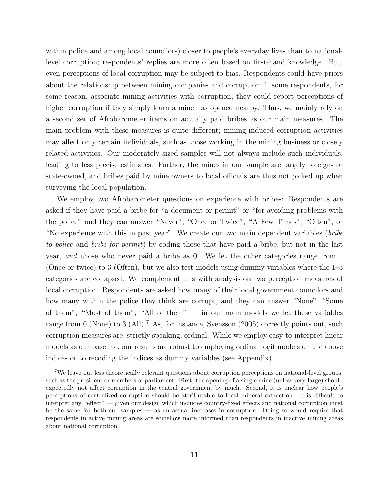within police and among local councilors) closer to people's everyday lives than to nationallevel corruption; respondents' replies are more often based on first-hand knowledge. But, even perceptions of local corruption may be subject to bias. Respondents could have priors about the relationship between mining companies and corruption; if some respondents, for some reason, associate mining activities with corruption, they could report perceptions of higher corruption if they simply learn a mine has opened nearby. Thus, we mainly rely on a second set of Afrobarometer items on actually paid bribes as our main measures. The main problem with these measures is quite different; mining-induced corruption activities may affect only certain individuals, such as those working in the mining business or closely related activities. Our moderately sized samples will not always include such individuals, leading to less precise estimates. Further, the mines in our sample are largely foreign- or state-owned, and bribes paid by mine owners to local officials are thus not picked up when surveying the local population.

We employ two Afrobarometer questions on experience with bribes: Respondents are asked if they have paid a bribe for "a document or permit" or "for avoiding problems with the police" and they can answer "Never", "Once or Twice", "A Few Times", "Often", or "No experience with this in past year". We create our two main dependent variables (bribe to police and bribe for permit) by coding those that have paid a bribe, but not in the last year, and those who never paid a bribe as 0. We let the other categories range from 1 (Once or twice) to 3 (Often), but we also test models using dummy variables where the 1–3 categories are collapsed. We complement this with analysis on two perception measures of local corruption. Respondents are asked how many of their local government councilors and how many within the police they think are corrupt, and they can answer "None", "Some of them", "Most of them", "All of them"  $-$  in our main models we let these variables range from 0 (None) to 3 (All).<sup>[7](#page-12-0)</sup> As, for instance, Svensson (2005) correctly points out, such corruption measures are, strictly speaking, ordinal. While we employ easy-to-interpret linear models as our baseline, our results are robust to employing ordinal logit models on the above indices or to recoding the indices as dummy variables (see Appendix).

<span id="page-12-0"></span><sup>&</sup>lt;sup>7</sup>We leave out less theoretically relevant questions about corruption perceptions on national-level groups, such as the president or members of parliament. First, the opening of a single mine (unless very large) should expectedly not affect corruption in the central government by much. Second, it is unclear how people's perceptions of centralized corruption should be attributable to local mineral extraction. It is difficult to interpret any "effect" — given our design which includes country-fixed effects and national corruption must be the same for both sub-samples — as an actual increases in corruption. Doing so would require that respondents in active mining areas are somehow more informed than respondents in inactive mining areas about national corruption.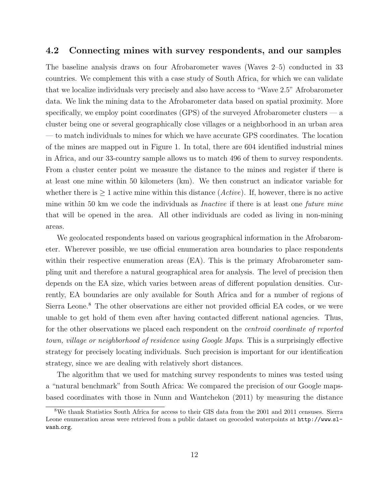#### 4.2 Connecting mines with survey respondents, and our samples

The baseline analysis draws on four Afrobarometer waves (Waves 2–5) conducted in 33 countries. We complement this with a case study of South Africa, for which we can validate that we localize individuals very precisely and also have access to "Wave 2.5" Afrobarometer data. We link the mining data to the Afrobarometer data based on spatial proximity. More specifically, we employ point coordinates (GPS) of the surveyed Afrobarometer clusters — a cluster being one or several geographically close villages or a neighborhood in an urban area — to match individuals to mines for which we have accurate GPS coordinates. The location of the mines are mapped out in Figure [1.](#page-14-0) In total, there are 604 identified industrial mines in Africa, and our 33-country sample allows us to match 496 of them to survey respondents. From a cluster center point we measure the distance to the mines and register if there is at least one mine within 50 kilometers (km). We then construct an indicator variable for whether there is  $\geq 1$  active mine within this distance (*Active*). If, however, there is no active mine within 50 km we code the individuals as *Inactive* if there is at least one *future mine* that will be opened in the area. All other individuals are coded as living in non-mining

We geolocated respondents based on various geographical information in the Afrobarometer. Wherever possible, we use official enumeration area boundaries to place respondents within their respective enumeration areas (EA). This is the primary Afrobarometer sampling unit and therefore a natural geographical area for analysis. The level of precision then depends on the EA size, which varies between areas of different population densities. Currently, EA boundaries are only available for South Africa and for a number of regions of Sierra Leone.<sup>[8](#page-13-0)</sup> The other observations are either not provided official EA codes, or we were unable to get hold of them even after having contacted different national agencies. Thus, for the other observations we placed each respondent on the centroid coordinate of reported town, village or neighborhood of residence using Google Maps. This is a surprisingly effective strategy for precisely locating individuals. Such precision is important for our identification strategy, since we are dealing with relatively short distances.

areas.

The algorithm that we used for matching survey respondents to mines was tested using a "natural benchmark" from South Africa: We compared the precision of our Google mapsbased coordinates with those in [Nunn and Wantchekon](#page-32-0) [\(2011\)](#page-32-0) by measuring the distance

<span id="page-13-0"></span><sup>8</sup>We thank Statistics South Africa for access to their GIS data from the 2001 and 2011 censuses. Sierra Leone enumeration areas were retrieved from a public dataset on geocoded waterpoints at [http://www](http://www.sl-wash.org).sl[wash](http://www.sl-wash.org).org.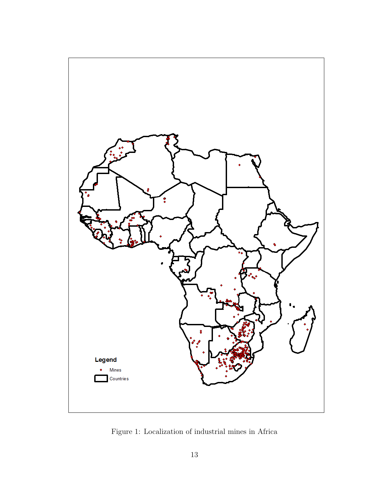<span id="page-14-0"></span>

Figure 1: Localization of industrial mines in Africa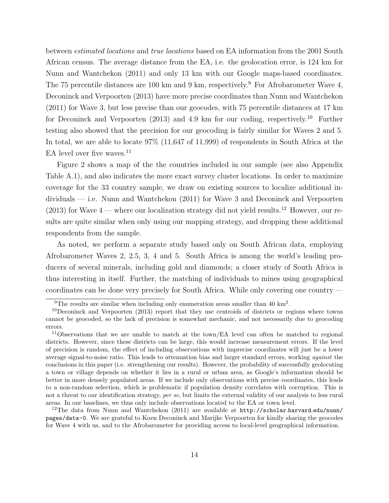between estimated locations and true locations based on EA information from the 2001 South African census. The average distance from the EA, i.e. the geolocation error, is 124 km for [Nunn and Wantchekon](#page-32-0) [\(2011\)](#page-32-0) and only 13 km with our Google maps-based coordinates. The 75 percentile distances are 100 km and [9](#page-15-0) km, respectively.<sup>9</sup> For Afrobarometer Wave 4, [Deconinck and Verpoorten](#page-30-9) [\(2013\)](#page-30-9) have more precise coordinates than [Nunn and Wantchekon](#page-32-0) [\(2011\)](#page-32-0) for Wave 3, but less precise than our geocodes, with 75 percentile distances at 17 km for [Deconinck and Verpoorten](#page-30-9)  $(2013)$  and 4.9 km for our coding, respectively.<sup>[10](#page-15-1)</sup> Further testing also showed that the precision for our geocoding is fairly similar for Waves 2 and 5. In total, we are able to locate 97% (11,647 of 11,999) of respondents in South Africa at the EA level over five waves.<sup>[11](#page-15-2)</sup>

Figure [2](#page-16-0) shows a map of the the countries included in our sample (see also Appendix Table [A.1\)](#page-35-0), and also indicates the more exact survey cluster locations. In order to maximize coverage for the 33 country sample, we draw on existing sources to localize additional individuals — i.e. [Nunn and Wantchekon](#page-32-0) [\(2011\)](#page-32-0) for Wave 3 and [Deconinck and Verpoorten](#page-30-9) [\(2013\)](#page-30-9) for Wave  $4$  — where our localization strategy did not yield results.<sup>[12](#page-15-3)</sup> However, our results are quite similar when only using our mapping strategy, and dropping these additional respondents from the sample.

As noted, we perform a separate study based only on South African data, employing Afrobarometer Waves 2, 2.5, 3, 4 and 5. South Africa is among the world's leading producers of several minerals, including gold and diamonds; a closer study of South Africa is thus interesting in itself. Further, the matching of individuals to mines using geographical coordinates can be done very precisely for South Africa. While only covering one country —

<span id="page-15-3"></span><sup>12</sup>The data from [Nunn and Wantchekon](#page-32-0) [\(2011\)](#page-32-0) are available at  $http://scholar.harvard.edu/num/$  $http://scholar.harvard.edu/num/$ [pages/data-0](http://scholar.harvard.edu/nunn/pages/data-0). We are grateful to Koen Deconinck and Marijke Verpoorten for kindly sharing the geocodes for Wave 4 with us, and to the Afrobarometer for providing access to local-level geographical information.

<span id="page-15-1"></span><span id="page-15-0"></span><sup>&</sup>lt;sup>9</sup>The results are similar when including only enumeration areas smaller than 40 km<sup>2</sup>.

 $10$ [Deconinck and Verpoorten](#page-30-9) [\(2013\)](#page-30-9) report that they use centroids of districts or regions where towns cannot be geocoded, so the lack of precision is somewhat mechanic, and not necessarily due to geocoding errors.

<span id="page-15-2"></span><sup>&</sup>lt;sup>11</sup>Observations that we are unable to match at the town/EA level can often be matched to regional districts. However, since these districts can be large, this would increase measurement errors. If the level of precision is random, the effect of including observations with imprecise coordinates will just be a lower average signal-to-noise ratio. This leads to attenuation bias and larger standard errors, working against the conclusions in this paper (i.e. strengthening our results). However, the probability of successfully geolocating a town or village depends on whether it lies in a rural or urban area, as Google's information should be better in more densely populated areas. If we include only observations with precise coordinates, this leads to a non-random selection, which is problematic if population density correlates with corruption. This is not a threat to our identification strategy, per se, but limits the external validity of our analysis to less rural areas. In our baselines, we thus only include observations located to the EA or town level.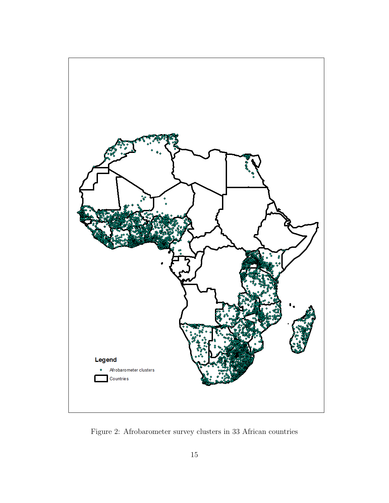<span id="page-16-0"></span>

Figure 2: Afrobarometer survey clusters in 33 African countries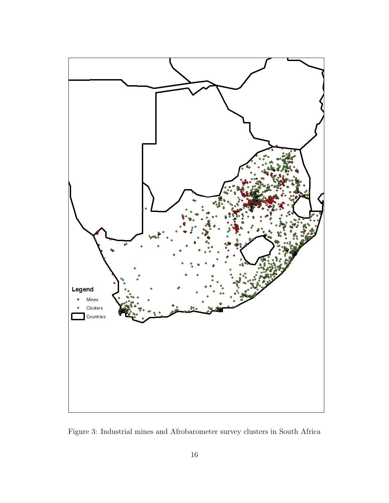<span id="page-17-0"></span>

Figure 3: Industrial mines and Afrobarometer survey clusters in South Africa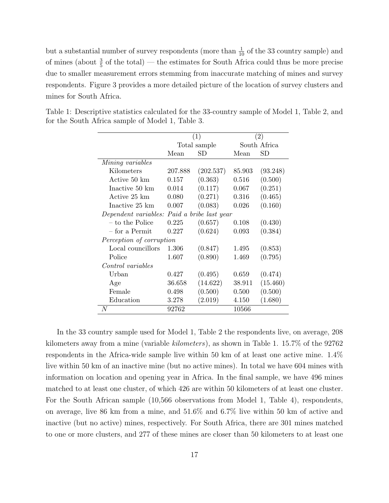but a substantial number of survey respondents (more than  $\frac{1}{10}$  of the 33 country sample) and of mines (about  $\frac{3}{5}$  of the total) — the estimates for South Africa could thus be more precise due to smaller measurement errors stemming from inaccurate matching of mines and survey respondents. Figure [3](#page-17-0) provides a more detailed picture of the location of survey clusters and mines for South Africa.

|                                             |         | (1)          | $\left( 2\right)$ |              |
|---------------------------------------------|---------|--------------|-------------------|--------------|
|                                             |         | Total sample |                   | South Africa |
|                                             | Mean    | SD           | Mean              | $_{\rm SD}$  |
| Mining variables                            |         |              |                   |              |
| Kilometers                                  | 207.888 | (202.537)    | 85.903            | (93.248)     |
| Active 50 km                                | 0.157   | (0.363)      | 0.516             | (0.500)      |
| Inactive 50 km                              | 0.014   | (0.117)      | 0.067             | (0.251)      |
| Active 25 km                                | 0.080   | (0.271)      | 0.316             | (0.465)      |
| Inactive 25 km                              | 0.007   | (0.083)      | 0.026             | (0.160)      |
| Dependent variables: Paid a bribe last year |         |              |                   |              |
| – to the Police                             | 0.225   | (0.657)      | 0.108             | (0.430)      |
| $-$ for a Permit                            | 0.227   | (0.624)      | 0.093             | (0.384)      |
| Perception of corruption                    |         |              |                   |              |
| Local councillors                           | 1.306   | (0.847)      | 1.495             | (0.853)      |
| Police                                      | 1.607   | (0.890)      | 1.469             | (0.795)      |
| Control variables                           |         |              |                   |              |
| Urban                                       | 0.427   | (0.495)      | 0.659             | (0.474)      |
| Age                                         | 36.658  | (14.622)     | 38.911            | (15.460)     |
| Female                                      | 0.498   | (0.500)      | 0.500             | (0.500)      |
| Education                                   | 3.278   | (2.019)      | 4.150             | (1.680)      |
| N                                           | 92762   |              | 10566             |              |

<span id="page-18-0"></span>Table 1: Descriptive statistics calculated for the 33-country sample of Model 1, Table 2, and for the South Africa sample of Model 1, Table 3.

In the 33 country sample used for Model 1, Table 2 the respondents live, on average, 208 kilometers away from a mine (variable kilometers), as shown in Table [1.](#page-18-0) 15.7% of the 92762 respondents in the Africa-wide sample live within 50 km of at least one active mine. 1.4% live within 50 km of an inactive mine (but no active mines). In total we have 604 mines with information on location and opening year in Africa. In the final sample, we have 496 mines matched to at least one cluster, of which 426 are within 50 kilometers of at least one cluster. For the South African sample (10,566 observations from Model 1, Table [4\)](#page-25-0), respondents, on average, live 86 km from a mine, and 51.6% and 6.7% live within 50 km of active and inactive (but no active) mines, respectively. For South Africa, there are 301 mines matched to one or more clusters, and 277 of these mines are closer than 50 kilometers to at least one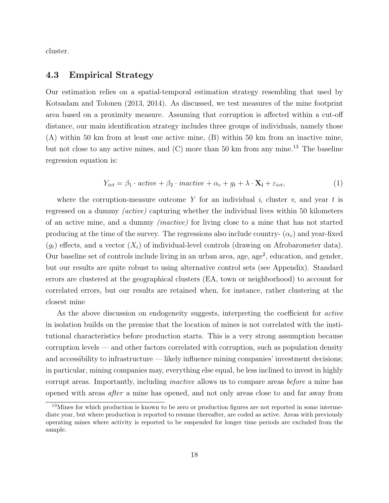cluster.

#### 4.3 Empirical Strategy

Our estimation relies on a spatial-temporal estimation strategy resembling that used by [Kotsadam and Tolonen](#page-31-11) [\(2013,](#page-31-11) [2014\)](#page-31-12). As discussed, we test measures of the mine footprint area based on a proximity measure. Assuming that corruption is affected within a cut-off distance, our main identification strategy includes three groups of individuals, namely those (A) within 50 km from at least one active mine, (B) within 50 km from an inactive mine, but not close to any active mines, and  $(C)$  more than 50 km from any mine.<sup>[13](#page-19-0)</sup> The baseline regression equation is:

<span id="page-19-1"></span>
$$
Y_{ivt} = \beta_1 \cdot active + \beta_2 \cdot inactive + \alpha_c + g_t + \lambda \cdot \mathbf{X_i} + \varepsilon_{ivt},\tag{1}
$$

where the corruption-measure outcome Y for an individual i, cluster v, and year t is regressed on a dummy (active) capturing whether the individual lives within 50 kilometers of an active mine, and a dummy (inactive) for living close to a mine that has not started producing at the time of the survey. The regressions also include country-  $(\alpha_c)$  and year-fixed  $(q_t)$  effects, and a vector  $(X_i)$  of individual-level controls (drawing on Afrobarometer data). Our baseline set of controls include living in an urban area, age, age<sup>2</sup>, education, and gender, but our results are quite robust to using alternative control sets (see Appendix). Standard errors are clustered at the geographical clusters (EA, town or neighborhood) to account for correlated errors, but our results are retained when, for instance, rather clustering at the closest mine

As the above discussion on endogeneity suggests, interpreting the coefficient for *active* in isolation builds on the premise that the location of mines is not correlated with the institutional characteristics before production starts. This is a very strong assumption because corruption levels — and other factors correlated with corruption, such as population density and accessibility to infrastructure — likely influence mining companies' investment decisions; in particular, mining companies may, everything else equal, be less inclined to invest in highly corrupt areas. Importantly, including inactive allows us to compare areas before a mine has opened with areas after a mine has opened, and not only areas close to and far away from

<span id="page-19-0"></span><sup>&</sup>lt;sup>13</sup>Mines for which production is known to be zero or production figures are not reported in some intermediate year, but where production is reported to resume thereafter, are coded as active. Areas with previously operating mines where activity is reported to be suspended for longer time periods are excluded from the sample.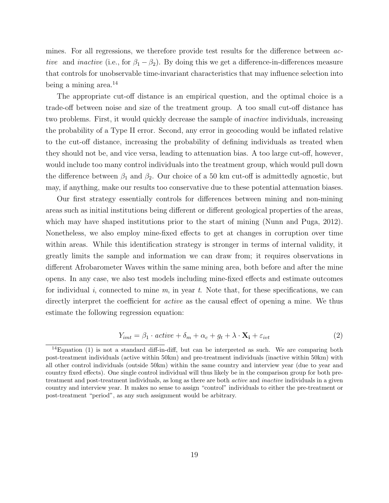mines. For all regressions, we therefore provide test results for the difference between active and inactive (i.e., for  $\beta_1 - \beta_2$ ). By doing this we get a difference-in-differences measure that controls for unobservable time-invariant characteristics that may influence selection into being a mining area.<sup>[14](#page-20-0)</sup>

The appropriate cut-off distance is an empirical question, and the optimal choice is a trade-off between noise and size of the treatment group. A too small cut-off distance has two problems. First, it would quickly decrease the sample of inactive individuals, increasing the probability of a Type II error. Second, any error in geocoding would be inflated relative to the cut-off distance, increasing the probability of defining individuals as treated when they should not be, and vice versa, leading to attenuation bias. A too large cut-off, however, would include too many control individuals into the treatment group, which would pull down the difference between  $\beta_1$  and  $\beta_2$ . Our choice of a 50 km cut-off is admittedly agnostic, but may, if anything, make our results too conservative due to these potential attenuation biases.

Our first strategy essentially controls for differences between mining and non-mining areas such as initial institutions being different or different geological properties of the areas, which may have shaped institutions prior to the start of mining [\(Nunn and Puga, 2012\)](#page-32-15). Nonetheless, we also employ mine-fixed effects to get at changes in corruption over time within areas. While this identification strategy is stronger in terms of internal validity, it greatly limits the sample and information we can draw from; it requires observations in different Afrobarometer Waves within the same mining area, both before and after the mine opens. In any case, we also test models including mine-fixed effects and estimate outcomes for individual i, connected to mine  $m$ , in year  $t$ . Note that, for these specifications, we can directly interpret the coefficient for *active* as the causal effect of opening a mine. We thus estimate the following regression equation:

$$
Y_{imt} = \beta_1 \cdot active + \delta_m + \alpha_c + g_t + \lambda \cdot \mathbf{X_i} + \varepsilon_{ivt}
$$
 (2)

<span id="page-20-0"></span><sup>&</sup>lt;sup>14</sup>Equation [\(1\)](#page-19-1) is not a standard diff-in-diff, but can be interpreted as such. We are comparing both post-treatment individuals (active within 50km) and pre-treatment individuals (inactive within 50km) with all other control individuals (outside 50km) within the same country and interview year (due to year and country fixed effects). One single control individual will thus likely be in the comparison group for both pretreatment and post-treatment individuals, as long as there are both active and inactive individuals in a given country and interview year. It makes no sense to assign "control" individuals to either the pre-treatment or post-treatment "period", as any such assignment would be arbitrary.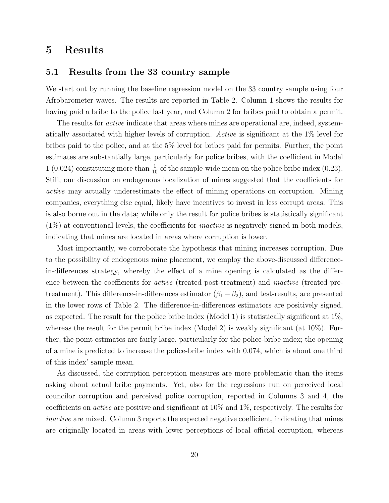### <span id="page-21-0"></span>5 Results

#### 5.1 Results from the 33 country sample

We start out by running the baseline regression model on the 33 country sample using four Afrobarometer waves. The results are reported in Table [2.](#page-22-0) Column 1 shows the results for having paid a bribe to the police last year, and Column 2 for bribes paid to obtain a permit.

The results for *active* indicate that areas where mines are operational are, indeed, systematically associated with higher levels of corruption. Active is significant at the 1% level for bribes paid to the police, and at the 5% level for bribes paid for permits. Further, the point estimates are substantially large, particularly for police bribes, with the coefficient in Model 1 (0.024) constituting more than  $\frac{1}{10}$  of the sample-wide mean on the police bribe index (0.23). Still, our discussion on endogenous localization of mines suggested that the coefficients for active may actually underestimate the effect of mining operations on corruption. Mining companies, everything else equal, likely have incentives to invest in less corrupt areas. This is also borne out in the data; while only the result for police bribes is statistically significant  $(1\%)$  at conventional levels, the coefficients for *inactive* is negatively signed in both models. indicating that mines are located in areas where corruption is lower.

Most importantly, we corroborate the hypothesis that mining increases corruption. Due to the possibility of endogenous mine placement, we employ the above-discussed differencein-differences strategy, whereby the effect of a mine opening is calculated as the difference between the coefficients for active (treated post-treatment) and inactive (treated pretreatment). This difference-in-differences estimator  $(\beta_1 - \beta_2)$ , and test-results, are presented in the lower rows of Table [2.](#page-22-0) The difference-in-differences estimators are positively signed, as expected. The result for the police bribe index (Model 1) is statistically significant at 1%, whereas the result for the permit bribe index (Model 2) is weakly significant (at  $10\%$ ). Further, the point estimates are fairly large, particularly for the police-bribe index; the opening of a mine is predicted to increase the police-bribe index with 0.074, which is about one third of this index' sample mean.

As discussed, the corruption perception measures are more problematic than the items asking about actual bribe payments. Yet, also for the regressions run on perceived local councilor corruption and perceived police corruption, reported in Columns 3 and 4, the coefficients on active are positive and significant at 10% and 1%, respectively. The results for inactive are mixed. Column 3 reports the expected negative coefficient, indicating that mines are originally located in areas with lower perceptions of local official corruption, whereas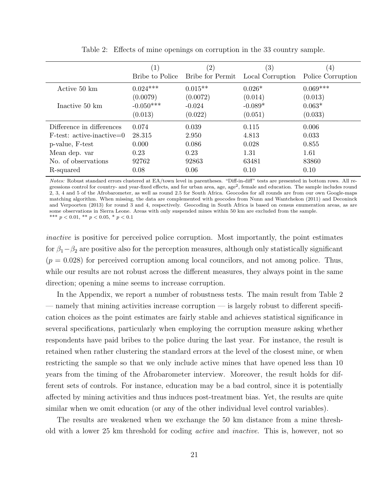<span id="page-22-0"></span>

|                             | (1)             | $^{\prime}2)$    | $\left( 3\right)$ | $\left(4\right)$  |
|-----------------------------|-----------------|------------------|-------------------|-------------------|
|                             | Bribe to Police | Bribe for Permit | Local Corruption  | Police Corruption |
| Active 50 km                | $0.024***$      | $0.015**$        | $0.026*$          | $0.069***$        |
|                             | (0.0079)        | (0.0072)         | (0.014)           | (0.013)           |
| Inactive 50 km              | $-0.050***$     | $-0.024$         | $-0.089*$         | $0.063*$          |
|                             | (0.013)         | (0.022)          | (0.051)           | (0.033)           |
| Difference in differences   | 0.074           | 0.039            | 0.115             | 0.006             |
| $F-test: active-inactive=0$ | 28.315          | 2.950            | 4.813             | 0.033             |
| p-value, F-test             | 0.000           | 0.086            | 0.028             | 0.855             |
| Mean dep. var               | 0.23            | 0.23             | 1.31              | 1.61              |
| No. of observations         | 92762           | 92863            | 63481             | 83860             |
| R-squared                   | 0.08            | 0.06             | 0.10              | 0.10              |

Table 2: Effects of mine openings on corruption in the 33 country sample.

Notes: Robust standard errors clustered at EA/town level in parentheses. "Diff-in-diff" tests are presented in bottom rows. All regressions control for country- and year-fixed effects, and for urban area, age, age<sup>2</sup>, female and education. The sample includes round 2, 3, 4 and 5 of the Afrobarometer, as well as round 2.5 for South Africa. Geocodes for all rounds are from our own Google-maps matching algorithm. When missing, the data are complemented with geocodes from [Nunn and Wantchekon](#page-32-0) [\(2011\)](#page-32-0) and [Deconinck](#page-30-9) [and Verpoorten](#page-30-9) [\(2013\)](#page-30-9) for round 3 and 4, respectively. Geocoding in South Africa is based on census enumeration areas, as are some observations in Sierra Leone. Areas with only suspended mines within 50 km are excluded from the sample. \*\*\*  $p < 0.01$ , \*\*  $p < 0.05$ , \*  $p < 0.1$ 

inactive is positive for perceived police corruption. Most importantly, the point estimates for  $\beta_1-\beta_2$  are positive also for the perception measures, although only statistically significant  $(p = 0.028)$  for perceived corruption among local councilors, and not among police. Thus, while our results are not robust across the different measures, they always point in the same direction; opening a mine seems to increase corruption.

In the Appendix, we report a number of robustness tests. The main result from Table [2](#page-22-0) — namely that mining activities increase corruption — is largely robust to different specification choices as the point estimates are fairly stable and achieves statistical significance in several specifications, particularly when employing the corruption measure asking whether respondents have paid bribes to the police during the last year. For instance, the result is retained when rather clustering the standard errors at the level of the closest mine, or when restricting the sample so that we only include active mines that have opened less than 10 years from the timing of the Afrobarometer interview. Moreover, the result holds for different sets of controls. For instance, education may be a bad control, since it is potentially affected by mining activities and thus induces post-treatment bias. Yet, the results are quite similar when we omit education (or any of the other individual level control variables).

The results are weakened when we exchange the 50 km distance from a mine threshold with a lower 25 km threshold for coding active and inactive. This is, however, not so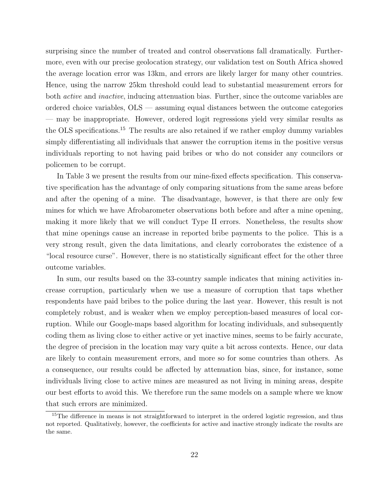surprising since the number of treated and control observations fall dramatically. Furthermore, even with our precise geolocation strategy, our validation test on South Africa showed the average location error was 13km, and errors are likely larger for many other countries. Hence, using the narrow 25km threshold could lead to substantial measurement errors for both active and inactive, inducing attenuation bias. Further, since the outcome variables are ordered choice variables, OLS — assuming equal distances between the outcome categories — may be inappropriate. However, ordered logit regressions yield very similar results as the OLS specifications.[15](#page-23-0) The results are also retained if we rather employ dummy variables simply differentiating all individuals that answer the corruption items in the positive versus individuals reporting to not having paid bribes or who do not consider any councilors or policemen to be corrupt.

In Table [3](#page-24-0) we present the results from our mine-fixed effects specification. This conservative specification has the advantage of only comparing situations from the same areas before and after the opening of a mine. The disadvantage, however, is that there are only few mines for which we have Afrobarometer observations both before and after a mine opening, making it more likely that we will conduct Type II errors. Nonetheless, the results show that mine openings cause an increase in reported bribe payments to the police. This is a very strong result, given the data limitations, and clearly corroborates the existence of a "local resource curse". However, there is no statistically significant effect for the other three outcome variables.

In sum, our results based on the 33-country sample indicates that mining activities increase corruption, particularly when we use a measure of corruption that taps whether respondents have paid bribes to the police during the last year. However, this result is not completely robust, and is weaker when we employ perception-based measures of local corruption. While our Google-maps based algorithm for locating individuals, and subsequently coding them as living close to either active or yet inactive mines, seems to be fairly accurate, the degree of precision in the location may vary quite a bit across contexts. Hence, our data are likely to contain measurement errors, and more so for some countries than others. As a consequence, our results could be affected by attenuation bias, since, for instance, some individuals living close to active mines are measured as not living in mining areas, despite our best efforts to avoid this. We therefore run the same models on a sample where we know that such errors are minimized.

<span id="page-23-0"></span><sup>&</sup>lt;sup>15</sup>The difference in means is not straightforward to interpret in the ordered logistic regression, and thus not reported. Qualitatively, however, the coefficients for active and inactive strongly indicate the results are the same.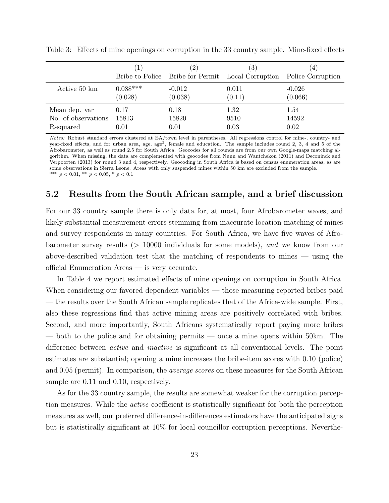|                     | $\mathbf{1}$ | $^{\prime}2)$ | $\left( 3\right)$<br>Bribe to Police Bribe for Permit Local Corruption | $\left(4\right)$<br>Police Corruption |
|---------------------|--------------|---------------|------------------------------------------------------------------------|---------------------------------------|
| Active 50 km        | $0.088***$   | $-0.012$      | 0.011                                                                  | $-0.026$                              |
|                     | (0.028)      | (0.038)       | (0.11)                                                                 | (0.066)                               |
| Mean dep. var       | 0.17         | 0.18          | 1.32                                                                   | 1.54                                  |
| No. of observations | 15813        | 15820         | 9510                                                                   | 14592                                 |
| R-squared           | 0.01         | 0.01          | 0.03                                                                   | 0.02                                  |

<span id="page-24-0"></span>Table 3: Effects of mine openings on corruption in the 33 country sample. Mine-fixed effects

Notes: Robust standard errors clustered at EA/town level in parentheses. All regressions control for mine-, country- and year-fixed effects, and for urban area, age, age<sup>2</sup>, female and education. The sample includes round 2, 3, 4 and 5 of the Afrobarometer, as well as round 2.5 for South Africa. Geocodes for all rounds are from our own Google-maps matching algorithm. When missing, the data are complemented with geocodes from [Nunn and Wantchekon](#page-32-0) [\(2011\)](#page-32-0) and [Deconinck and](#page-30-9) [Verpoorten](#page-30-9) [\(2013\)](#page-30-9) for round 3 and 4, respectively. Geocoding in South Africa is based on census enumeration areas, as are some observations in Sierra Leone. Areas with only suspended mines within 50 km are excluded from the sample. \*\*\*  $p < 0.01$ , \*\*  $p < 0.05$ , \*  $p < 0.1$ 

#### 5.2 Results from the South African sample, and a brief discussion

For our 33 country sample there is only data for, at most, four Afrobarometer waves, and likely substantial measurement errors stemming from inaccurate location-matching of mines and survey respondents in many countries. For South Africa, we have five waves of Afrobarometer survey results (> 10000 individuals for some models), and we know from our above-described validation test that the matching of respondents to mines — using the official Enumeration Areas — is very accurate.

In Table [4](#page-25-0) we report estimated effects of mine openings on corruption in South Africa. When considering our favored dependent variables — those measuring reported bribes paid — the results over the South African sample replicates that of the Africa-wide sample. First, also these regressions find that active mining areas are positively correlated with bribes. Second, and more importantly, South Africans systematically report paying more bribes — both to the police and for obtaining permits — once a mine opens within 50km. The difference between active and inactive is significant at all conventional levels. The point estimates are substantial; opening a mine increases the bribe-item scores with 0.10 (police) and 0.05 (permit). In comparison, the average scores on these measures for the South African sample are 0.11 and 0.10, respectively.

As for the 33 country sample, the results are somewhat weaker for the corruption perception measures. While the active coefficient is statistically significant for both the perception measures as well, our preferred difference-in-differences estimators have the anticipated signs but is statistically significant at 10% for local councillor corruption perceptions. Neverthe-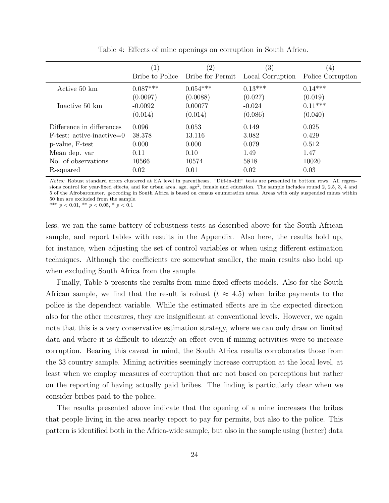<span id="page-25-0"></span>

|                             | (1)             | $^{\prime}2)$    | $\left( 3\right)$ | $\left(4\right)$  |
|-----------------------------|-----------------|------------------|-------------------|-------------------|
|                             | Bribe to Police | Bribe for Permit | Local Corruption  | Police Corruption |
| Active 50 km                | $0.087***$      | $0.054***$       | $0.13***$         | $0.14***$         |
|                             | (0.0097)        | (0.0088)         | (0.027)           | (0.019)           |
| Inactive 50 km              | $-0.0092$       | 0.00077          | $-0.024$          | $0.11***$         |
|                             | (0.014)         | (0.014)          | (0.086)           | (0.040)           |
| Difference in differences   | 0.096           | 0.053            | 0.149             | 0.025             |
| $F-test: active-inactive=0$ | 38.378          | 13.116           | 3.082             | 0.429             |
| p-value, F-test             | 0.000           | 0.000            | 0.079             | 0.512             |
| Mean dep. var               | 0.11            | 0.10             | 1.49              | 1.47              |
| No. of observations         | 10566           | 10574            | 5818              | 10020             |
| R-squared                   | 0.02            | 0.01             | 0.02              | 0.03              |

Table 4: Effects of mine openings on corruption in South Africa.

Notes: Robust standard errors clustered at EA level in parentheses. "Diff-in-diff" tests are presented in bottom rows. All regressions control for year-fixed effects, and for urban area, age, age<sup>2</sup>, female and education. The sample includes round 2, 2.5, 3, 4 and 5 of the Afrobarometer. geocoding in South Africa is based on census enumeration areas. Areas with only suspended mines within 50 km are excluded from the sample.

\*\*\*  $p < 0.01$ , \*\*  $p < 0.05$ , \*  $p < 0.1$ 

less, we ran the same battery of robustness tests as described above for the South African sample, and report tables with results in the Appendix. Also here, the results hold up, for instance, when adjusting the set of control variables or when using different estimation techniques. Although the coefficients are somewhat smaller, the main results also hold up when excluding South Africa from the sample.

Finally, Table [5](#page-26-0) presents the results from mine-fixed effects models. Also for the South African sample, we find that the result is robust  $(t \approx 4.5)$  when bribe payments to the police is the dependent variable. While the estimated effects are in the expected direction also for the other measures, they are insignificant at conventional levels. However, we again note that this is a very conservative estimation strategy, where we can only draw on limited data and where it is difficult to identify an effect even if mining activities were to increase corruption. Bearing this caveat in mind, the South Africa results corroborates those from the 33 country sample. Mining activities seemingly increase corruption at the local level, at least when we employ measures of corruption that are not based on perceptions but rather on the reporting of having actually paid bribes. The finding is particularly clear when we consider bribes paid to the police.

The results presented above indicate that the opening of a mine increases the bribes that people living in the area nearby report to pay for permits, but also to the police. This pattern is identified both in the Africa-wide sample, but also in the sample using (better) data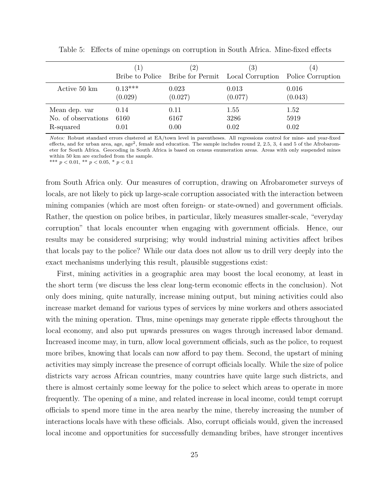|                     | $\left(1\right)$ | $\left 2\right\rangle$ | $\left( 3\right)$<br>Bribe to Police Bribe for Permit Local Corruption | 4)<br>Police Corruption |
|---------------------|------------------|------------------------|------------------------------------------------------------------------|-------------------------|
| Active 50 km        | $0.13***$        | 0.023                  | 0.013                                                                  | 0.016                   |
|                     | (0.029)          | (0.027)                | (0.077)                                                                | (0.043)                 |
| Mean dep. var       | 0.14             | 0.11                   | 1.55                                                                   | 1.52                    |
| No. of observations | 6160             | 6167                   | 3286                                                                   | 5919                    |
| R-squared           | 0.01             | 0.00                   | 0.02                                                                   | 0.02                    |

<span id="page-26-0"></span>Table 5: Effects of mine openings on corruption in South Africa. Mine-fixed effects

Notes: Robust standard errors clustered at EA/town level in parentheses. All regressions control for mine- and year-fixed effects, and for urban area, age, age<sup>2</sup>, female and education. The sample includes round 2, 2.5, 3, 4 and 5 of the Afrobarometer for South Africa. Geocoding in South Africa is based on census enumeration areas. Areas with only suspended mines within 50 km are excluded from the sample.

\*\*\*  $p < 0.01$ , \*\*  $p < 0.05$ , \*  $p < 0.1$ 

from South Africa only. Our measures of corruption, drawing on Afrobarometer surveys of locals, are not likely to pick up large-scale corruption associated with the interaction between mining companies (which are most often foreign- or state-owned) and government officials. Rather, the question on police bribes, in particular, likely measures smaller-scale, "everyday corruption" that locals encounter when engaging with government officials. Hence, our results may be considered surprising; why would industrial mining activities affect bribes that locals pay to the police? While our data does not allow us to drill very deeply into the exact mechanisms underlying this result, plausible suggestions exist:

First, mining activities in a geographic area may boost the local economy, at least in the short term (we discuss the less clear long-term economic effects in the conclusion). Not only does mining, quite naturally, increase mining output, but mining activities could also increase market demand for various types of services by mine workers and others associated with the mining operation. Thus, mine openings may generate ripple effects throughout the local economy, and also put upwards pressures on wages through increased labor demand. Increased income may, in turn, allow local government officials, such as the police, to request more bribes, knowing that locals can now afford to pay them. Second, the upstart of mining activities may simply increase the presence of corrupt officials locally. While the size of police districts vary across African countries, many countries have quite large such districts, and there is almost certainly some leeway for the police to select which areas to operate in more frequently. The opening of a mine, and related increase in local income, could tempt corrupt officials to spend more time in the area nearby the mine, thereby increasing the number of interactions locals have with these officials. Also, corrupt officials would, given the increased local income and opportunities for successfully demanding bribes, have stronger incentives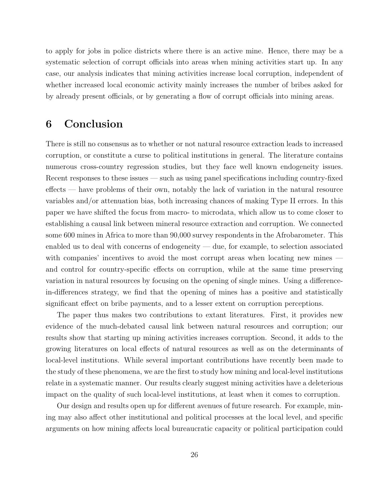to apply for jobs in police districts where there is an active mine. Hence, there may be a systematic selection of corrupt officials into areas when mining activities start up. In any case, our analysis indicates that mining activities increase local corruption, independent of whether increased local economic activity mainly increases the number of bribes asked for by already present officials, or by generating a flow of corrupt officials into mining areas.

## 6 Conclusion

There is still no consensus as to whether or not natural resource extraction leads to increased corruption, or constitute a curse to political institutions in general. The literature contains numerous cross-country regression studies, but they face well known endogeneity issues. Recent responses to these issues — such as using panel specifications including country-fixed effects — have problems of their own, notably the lack of variation in the natural resource variables and/or attenuation bias, both increasing chances of making Type II errors. In this paper we have shifted the focus from macro- to microdata, which allow us to come closer to establishing a causal link between mineral resource extraction and corruption. We connected some 600 mines in Africa to more than 90,000 survey respondents in the Afrobarometer. This enabled us to deal with concerns of endogeneity — due, for example, to selection associated with companies' incentives to avoid the most corrupt areas when locating new mines and control for country-specific effects on corruption, while at the same time preserving variation in natural resources by focusing on the opening of single mines. Using a differencein-differences strategy, we find that the opening of mines has a positive and statistically significant effect on bribe payments, and to a lesser extent on corruption perceptions.

The paper thus makes two contributions to extant literatures. First, it provides new evidence of the much-debated causal link between natural resources and corruption; our results show that starting up mining activities increases corruption. Second, it adds to the growing literatures on local effects of natural resources as well as on the determinants of local-level institutions. While several important contributions have recently been made to the study of these phenomena, we are the first to study how mining and local-level institutions relate in a systematic manner. Our results clearly suggest mining activities have a deleterious impact on the quality of such local-level institutions, at least when it comes to corruption.

Our design and results open up for different avenues of future research. For example, mining may also affect other institutional and political processes at the local level, and specific arguments on how mining affects local bureaucratic capacity or political participation could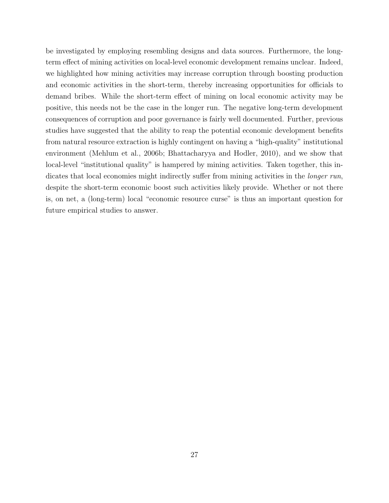be investigated by employing resembling designs and data sources. Furthermore, the longterm effect of mining activities on local-level economic development remains unclear. Indeed, we highlighted how mining activities may increase corruption through boosting production and economic activities in the short-term, thereby increasing opportunities for officials to demand bribes. While the short-term effect of mining on local economic activity may be positive, this needs not be the case in the longer run. The negative long-term development consequences of corruption and poor governance is fairly well documented. Further, previous studies have suggested that the ability to reap the potential economic development benefits from natural resource extraction is highly contingent on having a "high-quality" institutional environment [\(Mehlum et al., 2006b;](#page-32-1) [Bhattacharyya and Hodler, 2010\)](#page-29-6), and we show that local-level "institutional quality" is hampered by mining activities. Taken together, this indicates that local economies might indirectly suffer from mining activities in the *longer run*, despite the short-term economic boost such activities likely provide. Whether or not there is, on net, a (long-term) local "economic resource curse" is thus an important question for future empirical studies to answer.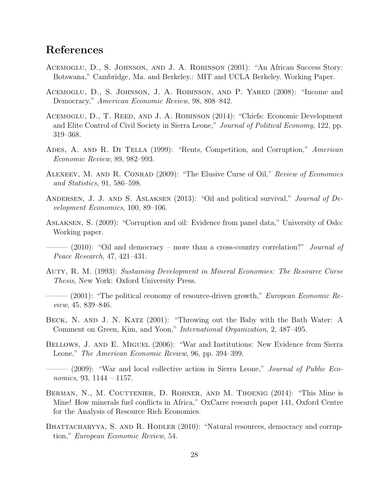## References

- <span id="page-29-5"></span>Acemoglu, D., S. Johnson, and J. A. Robinson (2001): "An African Success Story: Botswana," Cambridge, Ma. and Berkeley.: MIT and UCLA Berkeley. Working Paper.
- <span id="page-29-1"></span>Acemoglu, D., S. Johnson, J. A. Robinson, and P. Yared (2008): "Income and Democracy," American Economic Review, 98, 808–842.
- <span id="page-29-2"></span>ACEMOGLU, D., T. REED, AND J. A. ROBINSON (2014): "Chiefs: Economic Development and Elite Control of Civil Society in Sierra Leone," Journal of Political Economy, 122, pp. 319–368.
- <span id="page-29-9"></span>ADES, A. AND R. DI TELLA (1999): "Rents, Competition, and Corruption," American Economic Review, 89, 982–993.
- <span id="page-29-4"></span>ALEXEEV, M. AND R. CONRAD (2009): "The Elusive Curse of Oil," Review of Economics and Statistics, 91, 586–598.
- <span id="page-29-7"></span>ANDERSEN, J. J. AND S. ASLAKSEN (2013): "Oil and political survival," *Journal of De*velopment Economics, 100, 89–106.
- <span id="page-29-10"></span>Aslaksen, S. (2009): "Corruption and oil: Evidence from panel data," University of Oslo: Working paper.
- <span id="page-29-8"></span> $-$  (2010): "Oil and democracy – more than a cross-country correlation?" *Journal of* Peace Research, 47, 421–431.
- <span id="page-29-3"></span>Auty, R. M. (1993): Sustaining Development in Mineral Economies: The Resource Curse Thesis, New York: Oxford University Press.
- <span id="page-29-0"></span> $-$  (2001): "The political economy of resource-driven growth," *European Economic Re*view, 45, 839–846.
- <span id="page-29-14"></span>BECK, N. AND J. N. KATZ (2001): "Throwing out the Baby with the Bath Water: A Comment on Green, Kim, and Yoon," International Organization, 2, 487–495.
- <span id="page-29-11"></span>Bellows, J. and E. Miguel (2006): "War and Institutions: New Evidence from Sierra Leone," The American Economic Review, 96, pp. 394–399.
- <span id="page-29-12"></span> $-$  (2009): "War and local collective action in Sierra Leone," *Journal of Public Eco*nomics, 93, 1144 – 1157.
- <span id="page-29-13"></span>BERMAN, N., M. COUTTENIER, D. ROHNER, AND M. THOENIG (2014): "This Mine is Mine! How minerals fuel conflicts in Africa," OxCarre research paper 141, Oxford Centre for the Analysis of Resource Rich Economies.
- <span id="page-29-6"></span>BHATTACHARYYA, S. AND R. HODLER (2010): "Natural resources, democracy and corruption," European Economic Review, 54.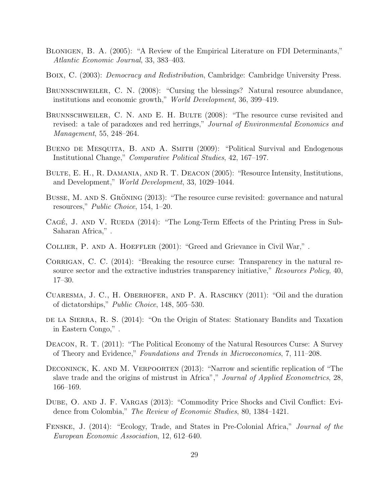- <span id="page-30-14"></span>Blonigen, B. A. (2005): "A Review of the Empirical Literature on FDI Determinants," Atlantic Economic Journal, 33, 383–403.
- <span id="page-30-2"></span>Boix, C. (2003): Democracy and Redistribution, Cambridge: Cambridge University Press.
- <span id="page-30-5"></span>BRUNNSCHWEILER, C. N. (2008): "Cursing the blessings? Natural resource abundance, institutions and economic growth," World Development, 36, 399–419.
- <span id="page-30-4"></span>BRUNNSCHWEILER, C. N. AND E. H. BULTE (2008): "The resource curse revisited and revised: a tale of paradoxes and red herrings," Journal of Environmental Economics and Management, 55, 248–264.
- <span id="page-30-3"></span>Bueno de Mesquita, B. and A. Smith (2009): "Political Survival and Endogenous Institutional Change," Comparative Political Studies, 42, 167–197.
- <span id="page-30-6"></span>Bulte, E. H., R. Damania, and R. T. Deacon (2005): "Resource Intensity, Institutions, and Development," World Development, 33, 1029–1044.
- <span id="page-30-1"></span>BUSSE, M. AND S. GRÖNING (2013): "The resource curse revisited: governance and natural resources," Public Choice, 154, 1–20.
- <span id="page-30-12"></span>CAGÉ, J. AND V. RUEDA  $(2014)$ : "The Long-Term Effects of the Printing Press in Sub-Saharan Africa," .
- <span id="page-30-8"></span>Collier, P. and A. Hoeffler (2001): "Greed and Grievance in Civil War," .
- <span id="page-30-15"></span>CORRIGAN, C. C. (2014): "Breaking the resource curse: Transparency in the natural resource sector and the extractive industries transparency initiative," Resources Policy, 40, 17–30.
- <span id="page-30-7"></span>Cuaresma, J. C., H. Oberhofer, and P. A. Raschky (2011): "Oil and the duration of dictatorships," Public Choice, 148, 505–530.
- <span id="page-30-10"></span>DE LA SIERRA, R. S. (2014): "On the Origin of States: Stationary Bandits and Taxation in Eastern Congo," .
- <span id="page-30-0"></span>Deacon, R. T. (2011): "The Political Economy of the Natural Resources Curse: A Survey of Theory and Evidence," Foundations and Trends in Microeconomics, 7, 111–208.
- <span id="page-30-9"></span>DECONINCK, K. AND M. VERPOORTEN (2013): "Narrow and scientific replication of "The slave trade and the origins of mistrust in Africa"," Journal of Applied Econometrics, 28, 166–169.
- <span id="page-30-11"></span>DUBE, O. AND J. F. VARGAS (2013): "Commodity Price Shocks and Civil Conflict: Evidence from Colombia," The Review of Economic Studies, 80, 1384–1421.
- <span id="page-30-13"></span>FENSKE, J. (2014): "Ecology, Trade, and States in Pre-Colonial Africa," Journal of the European Economic Association, 12, 612–640.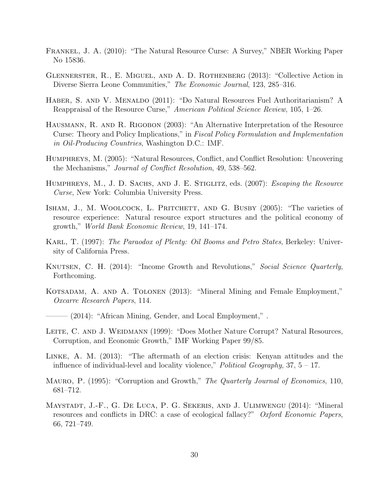- <span id="page-31-1"></span>Frankel, J. A. (2010): "The Natural Resource Curse: A Survey," NBER Working Paper No 15836.
- <span id="page-31-14"></span>Glennerster, R., E. Miguel, and A. D. Rothenberg (2013): "Collective Action in Diverse Sierra Leone Communities," The Economic Journal, 123, 285–316.
- <span id="page-31-0"></span>HABER, S. AND V. MENALDO (2011): "Do Natural Resources Fuel Authoritarianism? A Reappraisal of the Resource Curse," American Political Science Review, 105, 1–26.
- <span id="page-31-4"></span>Hausmann, R. and R. Rigobon (2003): "An Alternative Interpretation of the Resource Curse: Theory and Policy Implications," in Fiscal Policy Formulation and Implementation in Oil-Producing Countries, Washington D.C.: IMF.
- <span id="page-31-8"></span>Humphreys, M. (2005): "Natural Resources, Conflict, and Conflict Resolution: Uncovering the Mechanisms," Journal of Conflict Resolution, 49, 538–562.
- <span id="page-31-2"></span>HUMPHREYS, M., J. D. SACHS, AND J. E. STIGLITZ, eds. (2007): *Escaping the Resource* Curse, New York: Columbia University Press.
- <span id="page-31-5"></span>ISHAM, J., M. WOOLCOCK, L. PRITCHETT, AND G. BUSBY (2005): "The varieties of resource experience: Natural resource export structures and the political economy of growth," World Bank Economic Review, 19, 141–174.
- <span id="page-31-3"></span>KARL, T. (1997): *The Paraodox of Plenty: Oil Booms and Petro States*, Berkeley: University of California Press.
- <span id="page-31-7"></span>KNUTSEN, C. H. (2014): "Income Growth and Revolutions," Social Science Quarterly, Forthcoming.
- <span id="page-31-11"></span>KOTSADAM, A. AND A. TOLONEN (2013): "Mineral Mining and Female Employment," Oxcarre Research Papers, 114.
- <span id="page-31-12"></span>– (2014): "African Mining, Gender, and Local Employment,".
- <span id="page-31-6"></span>LEITE, C. AND J. WEIDMANN (1999): "Does Mother Nature Corrupt? Natural Resources, Corruption, and Economic Growth," IMF Working Paper 99/85.
- <span id="page-31-13"></span>Linke, A. M. (2013): "The aftermath of an election crisis: Kenyan attitudes and the influence of individual-level and locality violence," *Political Geography*,  $37, 5 - 17$ .
- <span id="page-31-9"></span>Mauro, P. (1995): "Corruption and Growth," The Quarterly Journal of Economics, 110, 681–712.
- <span id="page-31-10"></span>MAYSTADT, J.-F., G. DE LUCA, P. G. SEKERIS, AND J. ULIMWENGU (2014): "Mineral resources and conflicts in DRC: a case of ecological fallacy?" Oxford Economic Papers, 66, 721–749.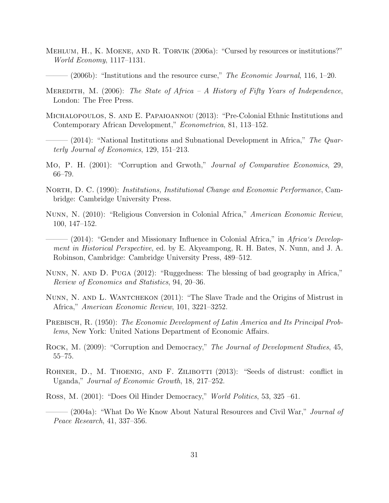- <span id="page-32-2"></span>Mehlum, H., K. Moene, and R. Torvik (2006a): "Cursed by resources or institutions?" World Economy, 1117–1131.
- <span id="page-32-1"></span> $-(2006b)$ : "Institutions and the resource curse," The Economic Journal, 116, 1–20.
- <span id="page-32-7"></span>MEREDITH, M. (2006): The State of Africa – A History of Fifty Years of Independence, London: The Free Press.
- <span id="page-32-12"></span>Michalopoulos, S. and E. Papaioannou (2013): "Pre-Colonial Ethnic Institutions and Contemporary African Development," Econometrica, 81, 113–152.
- <span id="page-32-13"></span> $-$  (2014): "National Institutions and Subnational Development in Africa," The Quarterly Journal of Economics, 129, 151–213.
- <span id="page-32-6"></span>Mo, P. H. (2001): "Corruption and Grwoth," Journal of Comparative Economics, 29, 66–79.
- <span id="page-32-14"></span>NORTH, D. C. (1990): *Institutions, Institutional Change and Economic Performance*, Cambridge: Cambridge University Press.
- <span id="page-32-9"></span>Nunn, N. (2010): "Religious Conversion in Colonial Africa," American Economic Review, 100, 147–152.
- <span id="page-32-11"></span> $-$  (2014): "Gender and Missionary Influence in Colonial Africa," in Africa's Development in Historical Perspective, ed. by E. Akyeampong, R. H. Bates, N. Nunn, and J. A. Robinson, Cambridge: Cambridge University Press, 489–512.
- <span id="page-32-15"></span>Nunn, N. and D. Puga (2012): "Ruggedness: The blessing of bad geography in Africa," Review of Economics and Statistics, 94, 20–36.
- <span id="page-32-0"></span>Nunn, N. and L. Wantchekon (2011): "The Slave Trade and the Origins of Mistrust in Africa," American Economic Review, 101, 3221–3252.
- <span id="page-32-3"></span>PREBISCH, R. (1950): The Economic Development of Latin America and Its Principal Problems, New York: United Nations Department of Economic Affairs.
- <span id="page-32-8"></span>ROCK, M. (2009): "Corruption and Democracy," The Journal of Development Studies, 45, 55–75.
- <span id="page-32-10"></span>ROHNER, D., M. THOENIG, AND F. ZILIBOTTI (2013): "Seeds of distrust: conflict in Uganda," Journal of Economic Growth, 18, 217–252.
- <span id="page-32-4"></span>Ross, M. (2001): "Does Oil Hinder Democracy," World Politics, 53, 325 –61.
- <span id="page-32-5"></span>- (2004a): "What Do We Know About Natural Resources and Civil War," *Journal of* Peace Research, 41, 337–356.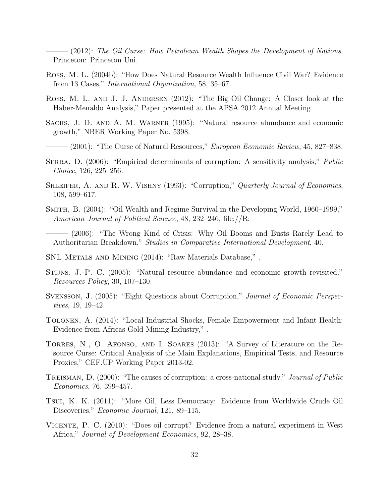<span id="page-33-4"></span> $-(2012)$ : The Oil Curse: How Petroleum Wealth Shapes the Development of Nations, Princeton: Princeton Uni.

- <span id="page-33-7"></span>Ross, M. L. (2004b): "How Does Natural Resource Wealth Influence Civil War? Evidence from 13 Cases," International Organization, 58, 35–67.
- <span id="page-33-10"></span>ROSS, M. L. AND J. J. ANDERSEN (2012): "The Big Oil Change: A Closer look at the Haber-Menaldo Analysis," Paper presented at the APSA 2012 Annual Meeting.
- <span id="page-33-2"></span>Sachs, J. D. and A. M. Warner (1995): "Natural resource abundance and economic growth," NBER Working Paper No. 5398.
- <span id="page-33-0"></span>- (2001): "The Curse of Natural Resources," *European Economic Review*, 45, 827–838.
- <span id="page-33-12"></span>SERRA, D. (2006): "Empirical determinants of corruption: A sensitivity analysis," *Public* Choice, 126, 225–256.
- <span id="page-33-15"></span>SHLEIFER, A. AND R. W. VISHNY (1993): "Corruption," Quarterly Journal of Economics, 108, 599–617.
- <span id="page-33-5"></span>Smith, B. (2004): "Oil Wealth and Regime Survival in the Developing World, 1960–1999," American Journal of Political Science, 48, 232–246, file://R:
- <span id="page-33-6"></span>– (2006): "The Wrong Kind of Crisis: Why Oil Booms and Busts Rarely Lead to Authoritarian Breakdown," Studies in Comparative International Development, 40.
- <span id="page-33-16"></span>SNL Metals and Mining (2014): "Raw Materials Database," .
- <span id="page-33-3"></span>Stijns, J.-P. C. (2005): "Natural resource abundance and economic growth revisited," Resources Policy, 30, 107–130.
- <span id="page-33-14"></span>Svensson, J. (2005): "Eight Questions about Corruption," Journal of Economic Perspectives, 19, 19–42.
- <span id="page-33-13"></span>Tolonen, A. (2014): "Local Industrial Shocks, Female Empowerment and Infant Health: Evidence from Africas Gold Mining Industry," .
- <span id="page-33-1"></span>Torres, N., O. Afonso, and I. Soares (2013): "A Survey of Literature on the Resource Curse: Critical Analysis of the Main Explanations, Empirical Tests, and Resource Proxies," CEF.UP Working Paper 2013-02.
- <span id="page-33-11"></span>TREISMAN, D. (2000): "The causes of corruption: a cross-national study," *Journal of Public* Economics, 76, 399–457.
- <span id="page-33-8"></span>Tsui, K. K. (2011): "More Oil, Less Democracy: Evidence from Worldwide Crude Oil Discoveries," *Economic Journal*, 121, 89–115.
- <span id="page-33-9"></span>Vicente, P. C. (2010): "Does oil corrupt? Evidence from a natural experiment in West Africa," Journal of Development Economics, 92, 28–38.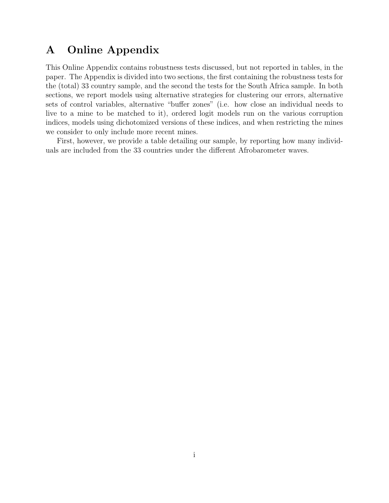## A Online Appendix

This Online Appendix contains robustness tests discussed, but not reported in tables, in the paper. The Appendix is divided into two sections, the first containing the robustness tests for the (total) 33 country sample, and the second the tests for the South Africa sample. In both sections, we report models using alternative strategies for clustering our errors, alternative sets of control variables, alternative "buffer zones" (i.e. how close an individual needs to live to a mine to be matched to it), ordered logit models run on the various corruption indices, models using dichotomized versions of these indices, and when restricting the mines we consider to only include more recent mines.

First, however, we provide a table detailing our sample, by reporting how many individuals are included from the 33 countries under the different Afrobarometer waves.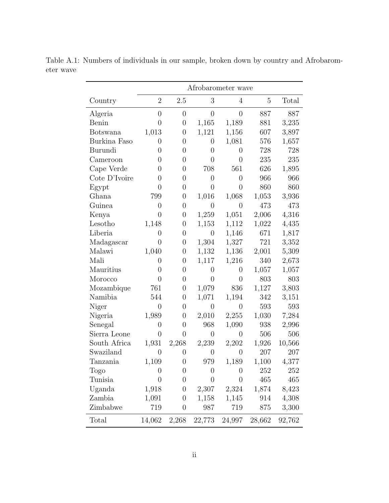|               |                | Afrobarometer wave |                |                |                |        |
|---------------|----------------|--------------------|----------------|----------------|----------------|--------|
| Country       | $\overline{2}$ | 2.5                | 3              | $\overline{4}$ | $\overline{5}$ | Total  |
| Algeria       | $\overline{0}$ | $\overline{0}$     | $\overline{0}$ | $\overline{0}$ | 887            | 887    |
| Benin         | $\overline{0}$ | $\overline{0}$     | 1,165          | 1,189          | 881            | 3,235  |
| Botswana      | 1,013          | $\overline{0}$     | 1,121          | 1,156          | 607            | 3,897  |
| Burkina Faso  | $\overline{0}$ | $\overline{0}$     | $\overline{0}$ | 1,081          | 576            | 1,657  |
| Burundi       | $\overline{0}$ | $\overline{0}$     | $\overline{0}$ | $\overline{0}$ | 728            | 728    |
| Cameroon      | $\overline{0}$ | $\overline{0}$     | $\overline{0}$ | $\overline{0}$ | 235            | 235    |
| Cape Verde    | $\overline{0}$ | $\overline{0}$     | 708            | 561            | 626            | 1,895  |
| Cote D'Ivoire | 0              | $\overline{0}$     | $\overline{0}$ | $\overline{0}$ | 966            | 966    |
| Egypt         | $\overline{0}$ | $\overline{0}$     | $\overline{0}$ | $\overline{0}$ | 860            | 860    |
| Ghana         | 799            | $\overline{0}$     | 1,016          | 1,068          | 1,053          | 3,936  |
| Guinea        | $\overline{0}$ | $\overline{0}$     | $\overline{0}$ | $\overline{0}$ | 473            | 473    |
| Kenya         | $\overline{0}$ | $\overline{0}$     | 1,259          | 1,051          | 2,006          | 4,316  |
| Lesotho       | 1,148          | $\boldsymbol{0}$   | 1,153          | 1,112          | 1,022          | 4,435  |
| Liberia       | $\overline{0}$ | $\overline{0}$     | $\overline{0}$ | 1,146          | 671            | 1,817  |
| Madagascar    | $\overline{0}$ | $\overline{0}$     | 1,304          | 1,327          | 721            | 3,352  |
| Malawi        | 1,040          | $\overline{0}$     | 1,132          | 1,136          | 2,001          | 5,309  |
| Mali          | $\overline{0}$ | $\overline{0}$     | 1,117          | 1,216          | 340            | 2,673  |
| Mauritius     | $\overline{0}$ | $\overline{0}$     | $\overline{0}$ | $\overline{0}$ | 1,057          | 1,057  |
| Morocco       | $\overline{0}$ | $\overline{0}$     | $\overline{0}$ | $\overline{0}$ | 803            | 803    |
| Mozambique    | 761            | $\overline{0}$     | 1,079          | 836            | 1,127          | 3,803  |
| Namibia       | 544            | $\overline{0}$     | 1,071          | 1,194          | 342            | 3,151  |
| Niger         | $\overline{0}$ | $\overline{0}$     | $\overline{0}$ | $\overline{0}$ | 593            | 593    |
| Nigeria       | 1,989          | $\boldsymbol{0}$   | 2,010          | 2,255          | 1,030          | 7,284  |
| Senegal       | $\overline{0}$ | $\overline{0}$     | 968            | 1,090          | 938            | 2,996  |
| Sierra Leone  | $\overline{0}$ | $\overline{0}$     | $\overline{0}$ | $\overline{0}$ | 506            | 506    |
| South Africa  | 1,931          | 2,268              | 2,239          | 2,202          | 1,926          | 10,566 |
| Swaziland     | $\overline{0}$ | $\overline{0}$     | $\theta$       | $\overline{0}$ | 207            | 207    |
| Tanzania      | 1,109          | $\boldsymbol{0}$   | 979            | 1,189          | 1,100          | 4,377  |
| Togo          | 0              | $\overline{0}$     | $\overline{0}$ | $\overline{0}$ | 252            | 252    |
| Tunisia       | $\overline{0}$ | $\overline{0}$     | $\overline{0}$ | $\overline{0}$ | 465            | 465    |
| Uganda        | 1,918          | $\boldsymbol{0}$   | 2,307          | 2,324          | 1,874          | 8,423  |
| Zambia        | 1,091          | $\boldsymbol{0}$   | 1,158          | 1,145          | 914            | 4,308  |
| Zimbabwe      | 719            | $\boldsymbol{0}$   | 987            | 719            | 875            | 3,300  |
| Total         | 14,062         | 2,268              | 22,773         | 24,997         | 28,662         | 92,762 |

<span id="page-35-0"></span>Table A.1: Numbers of individuals in our sample, broken down by country and Afrobarometer wave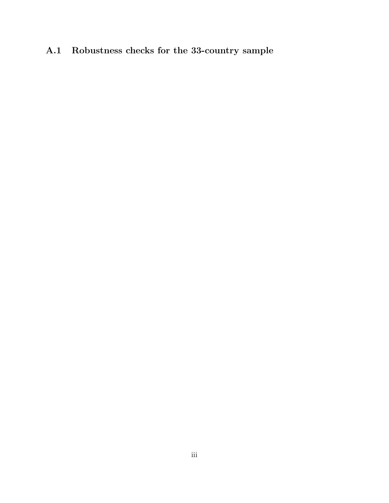## A.1 Robustness checks for the 33-country sample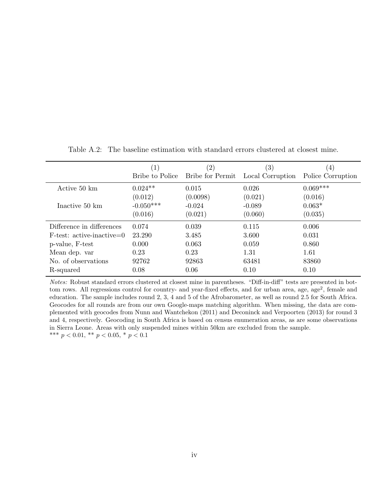|                             | $\left 1\right\rangle$ | $\left( 2\right)$ | $\left( 3\right)$ | $\left(4\right)$  |
|-----------------------------|------------------------|-------------------|-------------------|-------------------|
|                             | Bribe to Police        | Bribe for Permit  | Local Corruption  | Police Corruption |
| Active 50 km                | $0.024**$              | 0.015             | 0.026             | $0.069***$        |
|                             | (0.012)                | (0.0098)          | (0.021)           | (0.016)           |
| Inactive 50 km              | $-0.050***$            | $-0.024$          | $-0.089$          | $0.063*$          |
|                             | (0.016)                | (0.021)           | (0.060)           | (0.035)           |
| Difference in differences   | 0.074                  | 0.039             | 0.115             | 0.006             |
| $F-test: active-inactive=0$ | 23.290                 | 3.485             | 3.600             | 0.031             |
| p-value, F-test             | 0.000                  | 0.063             | 0.059             | 0.860             |
| Mean dep. var               | 0.23                   | 0.23              | 1.31              | 1.61              |
| No. of observations         | 92762                  | 92863             | 63481             | 83860             |
| R-squared                   | 0.08                   | 0.06              | 0.10              | 0.10              |

Table A.2: The baseline estimation with standard errors clustered at closest mine.

Notes: Robust standard errors clustered at closest mine in parentheses. "Diff-in-diff" tests are presented in bottom rows. All regressions control for country- and year-fixed effects, and for urban area, age, age<sup>2</sup>, female and education. The sample includes round 2, 3, 4 and 5 of the Afrobarometer, as well as round 2.5 for South Africa. Geocodes for all rounds are from our own Google-maps matching algorithm. When missing, the data are complemented with geocodes from [Nunn and Wantchekon](#page-32-0) [\(2011\)](#page-32-0) and [Deconinck and Verpoorten](#page-30-9) [\(2013\)](#page-30-9) for round 3 and 4, respectively. Geocoding in South Africa is based on census enumeration areas, as are some observations in Sierra Leone. Areas with only suspended mines within 50km are excluded from the sample. \*\*\*  $p < 0.01$ , \*\*  $p < 0.05$ , \*  $p < 0.1$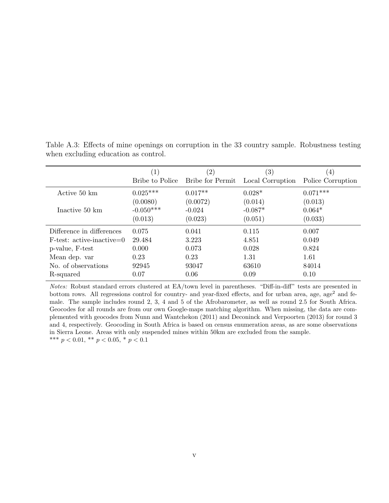|                             | $\left( 1\right)$ | (2)              | (3)              | $\left(4\right)$  |
|-----------------------------|-------------------|------------------|------------------|-------------------|
|                             | Bribe to Police   | Bribe for Permit | Local Corruption | Police Corruption |
| Active 50 km                | $0.025***$        | $0.017**$        | $0.028*$         | $0.071***$        |
|                             | (0.0080)          | (0.0072)         | (0.014)          | (0.013)           |
| Inactive 50 km              | $-0.050***$       | $-0.024$         | $-0.087*$        | $0.064*$          |
|                             | (0.013)           | (0.023)          | (0.051)          | (0.033)           |
| Difference in differences   | 0.075             | 0.041            | 0.115            | 0.007             |
| $F-test: active-inactive=0$ | 29.484            | 3.223            | 4.851            | 0.049             |
| p-value, F-test             | 0.000             | 0.073            | 0.028            | 0.824             |
| Mean dep. var               | 0.23              | 0.23             | 1.31             | 1.61              |
| No. of observations         | 92945             | 93047            | 63610            | 84014             |
| R-squared                   | 0.07              | 0.06             | 0.09             | 0.10              |

Table A.3: Effects of mine openings on corruption in the 33 country sample. Robustness testing when excluding education as control.

Notes: Robust standard errors clustered at EA/town level in parentheses. "Diff-in-diff" tests are presented in bottom rows. All regressions control for country- and year-fixed effects, and for urban area, age, age<sup>2</sup> and female. The sample includes round 2, 3, 4 and 5 of the Afrobarometer, as well as round 2.5 for South Africa. Geocodes for all rounds are from our own Google-maps matching algorithm. When missing, the data are complemented with geocodes from [Nunn and Wantchekon](#page-32-0) [\(2011\)](#page-32-0) and [Deconinck and Verpoorten](#page-30-9) [\(2013\)](#page-30-9) for round 3 and 4, respectively. Geocoding in South Africa is based on census enumeration areas, as are some observations in Sierra Leone. Areas with only suspended mines within 50km are excluded from the sample. \*\*\*  $p < 0.01$ , \*\*  $p < 0.05$ , \*  $p < 0.1$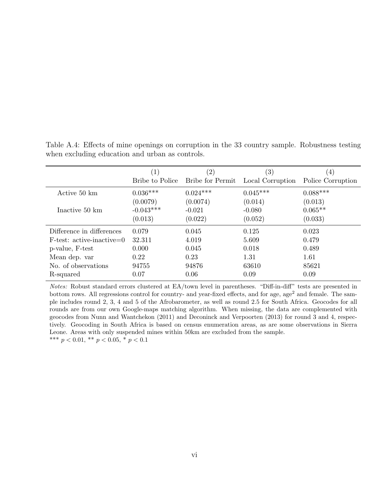|                             | $\left( 1\right)$ | (2)                     | (3)              | $\left(4\right)$  |
|-----------------------------|-------------------|-------------------------|------------------|-------------------|
|                             | Bribe to Police   | <b>Bribe for Permit</b> | Local Corruption | Police Corruption |
| Active 50 km                | $0.036***$        | $0.024***$              | $0.045***$       | $0.088***$        |
|                             | (0.0079)          | (0.0074)                | (0.014)          | (0.013)           |
| Inactive 50 km              | $-0.043***$       | $-0.021$                | $-0.080$         | $0.065**$         |
|                             | (0.013)           | (0.022)                 | (0.052)          | (0.033)           |
| Difference in differences   | 0.079             | 0.045                   | 0.125            | 0.023             |
| $F-test: active-inactive=0$ | 32.311            | 4.019                   | 5.609            | 0.479             |
| p-value, F-test             | 0.000             | 0.045                   | 0.018            | 0.489             |
| Mean dep. var               | 0.22              | 0.23                    | 1.31             | 1.61              |
| No. of observations         | 94755             | 94876                   | 63610            | 85621             |
| R-squared                   | 0.07              | 0.06                    | 0.09             | 0.09              |

Table A.4: Effects of mine openings on corruption in the 33 country sample. Robustness testing when excluding education and urban as controls.

Notes: Robust standard errors clustered at EA/town level in parentheses. "Diff-in-diff" tests are presented in bottom rows. All regressions control for country- and year-fixed effects, and for age, age<sup>2</sup> and female. The sample includes round 2, 3, 4 and 5 of the Afrobarometer, as well as round 2.5 for South Africa. Geocodes for all rounds are from our own Google-maps matching algorithm. When missing, the data are complemented with geocodes from [Nunn and Wantchekon](#page-32-0) [\(2011\)](#page-32-0) and [Deconinck and Verpoorten](#page-30-9) [\(2013\)](#page-30-9) for round 3 and 4, respectively. Geocoding in South Africa is based on census enumeration areas, as are some observations in Sierra Leone. Areas with only suspended mines within 50km are excluded from the sample. \*\*\*  $p < 0.01$ , \*\*  $p < 0.05$ , \*  $p < 0.1$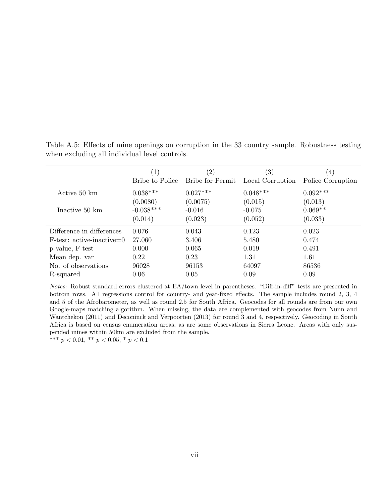|                             | $\left( 1\right)$ | (2)              | $\left( 3\right)$ | $\left(4\right)$  |
|-----------------------------|-------------------|------------------|-------------------|-------------------|
|                             | Bribe to Police   | Bribe for Permit | Local Corruption  | Police Corruption |
| Active 50 km                | $0.038***$        | $0.027***$       | $0.048***$        | $0.092***$        |
|                             | (0.0080)          | (0.0075)         | (0.015)           | (0.013)           |
| Inactive 50 km              | $-0.038***$       | $-0.016$         | $-0.075$          | $0.069**$         |
|                             | (0.014)           | (0.023)          | (0.052)           | (0.033)           |
| Difference in differences   | 0.076             | 0.043            | 0.123             | 0.023             |
| $F-test: active-inactive=0$ | 27.060            | 3.406            | 5.480             | 0.474             |
| p-value, F-test             | 0.000             | 0.065            | 0.019             | 0.491             |
| Mean dep. var               | 0.22              | 0.23             | 1.31              | 1.61              |
| No. of observations         | 96028             | 96153            | 64097             | 86536             |
| R-squared                   | 0.06              | 0.05             | 0.09              | 0.09              |

Table A.5: Effects of mine openings on corruption in the 33 country sample. Robustness testing when excluding all individual level controls.

Notes: Robust standard errors clustered at EA/town level in parentheses. "Diff-in-diff" tests are presented in bottom rows. All regressions control for country- and year-fixed effects. The sample includes round 2, 3, 4 and 5 of the Afrobarometer, as well as round 2.5 for South Africa. Geocodes for all rounds are from our own Google-maps matching algorithm. When missing, the data are complemented with geocodes from [Nunn and](#page-32-0) [Wantchekon](#page-32-0) [\(2011\)](#page-32-0) and [Deconinck and Verpoorten](#page-30-9) [\(2013\)](#page-30-9) for round 3 and 4, respectively. Geocoding in South Africa is based on census enumeration areas, as are some observations in Sierra Leone. Areas with only suspended mines within 50km are excluded from the sample.

\*\*\*  $p < 0.01$ , \*\*  $p < 0.05$ , \*  $p < 0.1$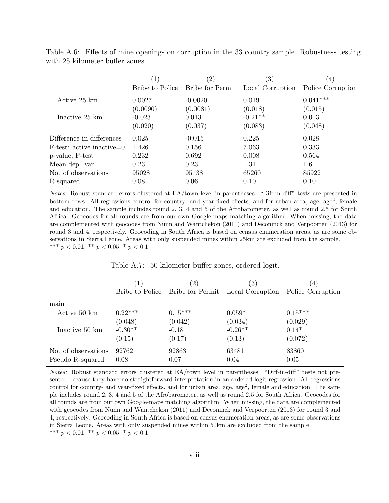|                             | $\left  \right $ | $\left( 2\right)$ | $\left( 3\right)$ | 4)                |
|-----------------------------|------------------|-------------------|-------------------|-------------------|
|                             | Bribe to Police  | Bribe for Permit  | Local Corruption  | Police Corruption |
| Active 25 km                | 0.0027           | $-0.0020$         | 0.019             | $0.041***$        |
|                             | (0.0090)         | (0.0081)          | (0.018)           | (0.015)           |
| Inactive 25 km              | $-0.023$         | 0.013             | $-0.21**$         | 0.013             |
|                             | (0.020)          | (0.037)           | (0.083)           | (0.048)           |
| Difference in differences   | 0.025            | $-0.015$          | 0.225             | 0.028             |
| $F-test: active-inactive=0$ | 1.426            | 0.156             | 7.063             | 0.333             |
| p-value, F-test             | 0.232            | 0.692             | 0.008             | 0.564             |
| Mean dep. var               | 0.23             | 0.23              | 1.31              | 1.61              |
| No. of observations         | 95028            | 95138             | 65260             | 85922             |
| R-squared                   | 0.08             | 0.06              | 0.10              | 0.10              |

Table A.6: Effects of mine openings on corruption in the 33 country sample. Robustness testing with 25 kilometer buffer zones.

Notes: Robust standard errors clustered at EA/town level in parentheses. "Diff-in-diff" tests are presented in bottom rows. All regressions control for country- and year-fixed effects, and for urban area, age, age<sup>2</sup>, female and education. The sample includes round 2, 3, 4 and 5 of the Afrobarometer, as well as round 2.5 for South Africa. Geocodes for all rounds are from our own Google-maps matching algorithm. When missing, the data are complemented with geocodes from [Nunn and Wantchekon](#page-32-0) [\(2011\)](#page-32-0) and [Deconinck and Verpoorten](#page-30-9) [\(2013\)](#page-30-9) for round 3 and 4, respectively. Geocoding in South Africa is based on census enumeration areas, as are some observations in Sierra Leone. Areas with only suspended mines within 25km are excluded from the sample. \*\*\*  $p < 0.01$ , \*\*  $p < 0.05$ , \*  $p < 0.1$ 

|                     | $\left( 1\right)$<br>Bribe to Police | $\left( 2\right)$<br>Bribe for Permit | $\left( 3\right)$<br>Local Corruption | (4)<br>Police Corruption |
|---------------------|--------------------------------------|---------------------------------------|---------------------------------------|--------------------------|
| main                |                                      |                                       |                                       |                          |
| Active 50 km        | $0.22***$                            | $0.15***$                             | $0.059*$                              | $0.15***$                |
|                     | (0.048)                              | (0.042)                               | (0.034)                               | (0.029)                  |
| Inactive 50 km      | $-0.30**$                            | $-0.18$                               | $-0.26**$                             | $0.14*$                  |
|                     | (0.15)                               | (0.17)                                | (0.13)                                | (0.072)                  |
| No. of observations | 92762                                | 92863                                 | 63481                                 | 83860                    |
| Pseudo R-squared    | 0.08                                 | 0.07                                  | 0.04                                  | 0.05                     |

Table A.7: 50 kilometer buffer zones, ordered logit.

Notes: Robust standard errors clustered at EA/town level in parentheses. "Diff-in-diff" tests not presented because they have no straightforward interpretation in an ordered logit regression. All regressions control for country- and year-fixed effects, and for urban area, age, age<sup>2</sup>, female and education. The sample includes round 2, 3, 4 and 5 of the Afrobarometer, as well as round 2.5 for South Africa. Geocodes for all rounds are from our own Google-maps matching algorithm. When missing, the data are complemented with geocodes from [Nunn and Wantchekon](#page-32-0) [\(2011\)](#page-32-0) and [Deconinck and Verpoorten](#page-30-9) [\(2013\)](#page-30-9) for round 3 and 4, respectively. Geocoding in South Africa is based on census enumeration areas, as are some observations in Sierra Leone. Areas with only suspended mines within 50km are excluded from the sample. \*\*\*  $p < 0.01$ , \*\*  $p < 0.05$ , \*  $p < 0.1$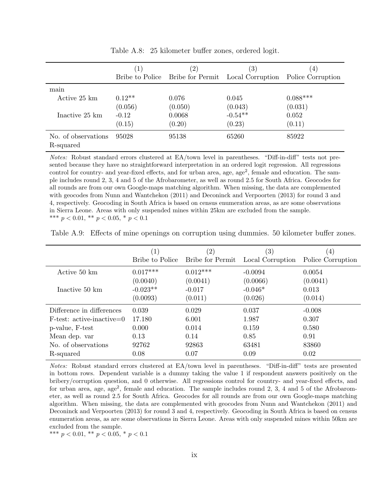|                                  | $\left( 1\right)$ | $\left( 2\right)$                | $\left( 3\right)$ | $\left 4\right\rangle$ |
|----------------------------------|-------------------|----------------------------------|-------------------|------------------------|
|                                  |                   | Bribe to Police Bribe for Permit | Local Corruption  | Police Corruption      |
| main                             |                   |                                  |                   |                        |
| Active 25 km                     | $0.12**$          | 0.076                            | 0.045             | $0.088***$             |
|                                  | (0.056)           | (0.050)                          | (0.043)           | (0.031)                |
| Inactive 25 km                   | $-0.12$           | 0.0068                           | $-0.54**$         | 0.052                  |
|                                  | (0.15)            | (0.20)                           | (0.23)            | (0.11)                 |
| No. of observations<br>R-squared | 95028             | 95138                            | 65260             | 85922                  |

Table A.8: 25 kilometer buffer zones, ordered logit.

Notes: Robust standard errors clustered at EA/town level in parentheses. "Diff-in-diff" tests not presented because they have no straightforward interpretation in an ordered logit regression. All regressions control for country- and year-fixed effects, and for urban area, age, age<sup>2</sup>, female and education. The sample includes round 2, 3, 4 and 5 of the Afrobarometer, as well as round 2.5 for South Africa. Geocodes for all rounds are from our own Google-maps matching algorithm. When missing, the data are complemented with geocodes from [Nunn and Wantchekon](#page-32-0) [\(2011\)](#page-32-0) and [Deconinck and Verpoorten](#page-30-9) [\(2013\)](#page-30-9) for round 3 and 4, respectively. Geocoding in South Africa is based on census enumeration areas, as are some observations in Sierra Leone. Areas with only suspended mines within 25km are excluded from the sample. \*\*\*  $p < 0.01$ , \*\*  $p < 0.05$ , \*  $p < 0.1$ 

Table A.9: Effects of mine openings on corruption using dummies. 50 kilometer buffer zones.

|                             | $\left( 1\right)$ | $\left( 2\right)$ | $\left( 3\right)$ | 4                 |
|-----------------------------|-------------------|-------------------|-------------------|-------------------|
|                             | Bribe to Police   | Bribe for Permit  | Local Corruption  | Police Corruption |
| Active 50 km                | $0.017***$        | $0.012***$        | $-0.0094$         | 0.0054            |
|                             | (0.0040)          | (0.0041)          | (0.0066)          | (0.0041)          |
| Inactive 50 km              | $-0.023**$        | $-0.017$          | $-0.046*$         | 0.013             |
|                             | (0.0093)          | (0.011)           | (0.026)           | (0.014)           |
| Difference in differences   | 0.039             | 0.029             | 0.037             | $-0.008$          |
| $F-test: active-inactive=0$ | 17.180            | 6.001             | 1.987             | 0.307             |
| p-value, F-test             | 0.000             | 0.014             | 0.159             | 0.580             |
| Mean dep. var               | 0.13              | 0.14              | 0.85              | 0.91              |
| No. of observations         | 92762             | 92863             | 63481             | 83860             |
| R-squared                   | 0.08              | 0.07              | 0.09              | 0.02              |

Notes: Robust standard errors clustered at EA/town level in parentheses. "Diff-in-diff" tests are presented in bottom rows. Dependent variable is a dummy taking the value 1 if respondent answers positively on the bribery/corruption question, and 0 otherwise. All regressions control for country- and year-fixed effects, and for urban area, age, age<sup>2</sup>, female and education. The sample includes round 2, 3, 4 and 5 of the Afrobarometer, as well as round 2.5 for South Africa. Geocodes for all rounds are from our own Google-maps matching algorithm. When missing, the data are complemented with geocodes from [Nunn and Wantchekon](#page-32-0) [\(2011\)](#page-32-0) and [Deconinck and Verpoorten](#page-30-9) [\(2013\)](#page-30-9) for round 3 and 4, respectively. Geocoding in South Africa is based on census enumeration areas, as are some observations in Sierra Leone. Areas with only suspended mines within 50km are excluded from the sample.

\*\*\*  $p < 0.01$ , \*\*  $p < 0.05$ , \*  $p < 0.1$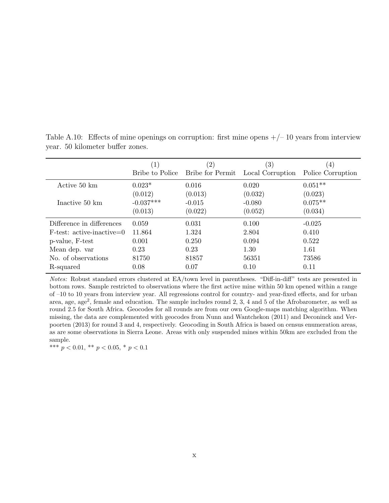|                             | (1)             | (2)              | $\left( 3\right)$ | 4)                |
|-----------------------------|-----------------|------------------|-------------------|-------------------|
|                             | Bribe to Police | Bribe for Permit | Local Corruption  | Police Corruption |
| Active 50 km                | $0.023*$        | 0.016            | 0.020             | $0.051**$         |
|                             | (0.012)         | (0.013)          | (0.032)           | (0.023)           |
| Inactive 50 km              | $-0.037***$     | $-0.015$         | $-0.080$          | $0.075**$         |
|                             | (0.013)         | (0.022)          | (0.052)           | (0.034)           |
| Difference in differences   | 0.059           | 0.031            | 0.100             | $-0.025$          |
| $F-test: active-inactive=0$ | 11.864          | 1.324            | 2.804             | 0.410             |
| p-value, F-test             | 0.001           | 0.250            | 0.094             | 0.522             |
| Mean dep. var               | 0.23            | 0.23             | 1.30              | 1.61              |
| No. of observations         | 81750           | 81857            | 56351             | 73586             |
| R-squared                   | 0.08            | 0.07             | 0.10              | 0.11              |

Table A.10: Effects of mine openings on corruption: first mine opens  $+/-10$  years from interview year. 50 kilometer buffer zones.

Notes: Robust standard errors clustered at EA/town level in parentheses. "Diff-in-diff" tests are presented in bottom rows. Sample restricted to observations where the first active mine within 50 km opened within a range of –10 to 10 years from interview year. All regressions control for country- and year-fixed effects, and for urban area, age, age<sup>2</sup>, female and education. The sample includes round 2, 3, 4 and 5 of the Afrobarometer, as well as round 2.5 for South Africa. Geocodes for all rounds are from our own Google-maps matching algorithm. When missing, the data are complemented with geocodes from [Nunn and Wantchekon](#page-32-0) [\(2011\)](#page-32-0) and [Deconinck and Ver](#page-30-9)[poorten](#page-30-9) [\(2013\)](#page-30-9) for round 3 and 4, respectively. Geocoding in South Africa is based on census enumeration areas, as are some observations in Sierra Leone. Areas with only suspended mines within 50km are excluded from the sample.

\*\*\*  $p < 0.01$ , \*\*  $p < 0.05$ , \*  $p < 0.1$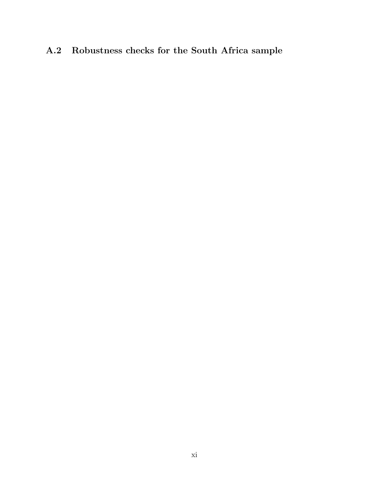## A.2 Robustness checks for the South Africa sample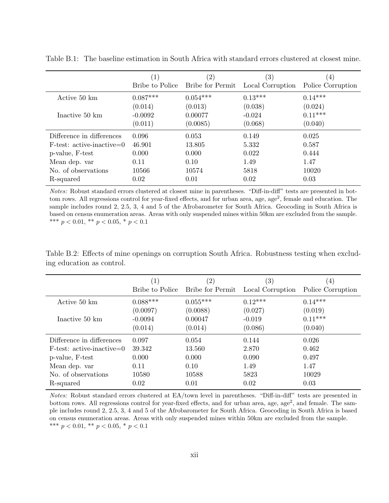|                             | $\lfloor$       | $\left( 2\right)$ | $\left( 3\right)$ | $\left(4\right)$  |
|-----------------------------|-----------------|-------------------|-------------------|-------------------|
|                             | Bribe to Police | Bribe for Permit  | Local Corruption  | Police Corruption |
| Active 50 km                | $0.087***$      | $0.054***$        | $0.13***$         | $0.14***$         |
|                             | (0.014)         | (0.013)           | (0.038)           | (0.024)           |
| Inactive 50 km              | $-0.0092$       | 0.00077           | $-0.024$          | $0.11***$         |
|                             | (0.011)         | (0.0085)          | (0.068)           | (0.040)           |
| Difference in differences   | 0.096           | 0.053             | 0.149             | 0.025             |
| $F-test: active-inactive=0$ | 46.901          | 13.805            | 5.332             | 0.587             |
| p-value, F-test             | 0.000           | 0.000             | 0.022             | 0.444             |
| Mean dep. var               | 0.11            | 0.10              | 1.49              | 1.47              |
| No. of observations         | 10566           | 10574             | 5818              | 10020             |
| R-squared                   | 0.02            | 0.01              | 0.02              | 0.03              |

Table B.1: The baseline estimation in South Africa with standard errors clustered at closest mine.

Notes: Robust standard errors clustered at closest mine in parentheses. "Diff-in-diff" tests are presented in bottom rows. All regressions control for year-fixed effects, and for urban area, age, age<sup>2</sup>, female and education. The sample includes round 2, 2.5, 3, 4 and 5 of the Afrobarometer for South Africa. Geocoding in South Africa is based on census enumeration areas. Areas with only suspended mines within 50km are excluded from the sample. \*\*\*  $p < 0.01$ , \*\*  $p < 0.05$ , \*  $p < 0.1$ 

Table B.2: Effects of mine openings on corruption South Africa. Robustness testing when excluding education as control.

|                             | $\left( 1\right)$ | $\left( 2\right)$       | $\left( 3\right)$ | $\left(4\right)$  |
|-----------------------------|-------------------|-------------------------|-------------------|-------------------|
|                             | Bribe to Police   | <b>Bribe for Permit</b> | Local Corruption  | Police Corruption |
| Active 50 km                | $0.088***$        | $0.055***$              | $0.12***$         | $0.14***$         |
|                             | (0.0097)          | (0.0088)                | (0.027)           | (0.019)           |
| Inactive 50 km              | $-0.0094$         | 0.00047                 | $-0.019$          | $0.11***$         |
|                             | (0.014)           | (0.014)                 | (0.086)           | (0.040)           |
| Difference in differences   | 0.097             | 0.054                   | 0.144             | 0.026             |
| $F-test: active-inactive=0$ | 39.342            | 13.560                  | 2.870             | 0.462             |
| p-value, F-test             | 0.000             | 0.000                   | 0.090             | 0.497             |
| Mean dep. var               | 0.11              | 0.10                    | 1.49              | 1.47              |
| No. of observations         | 10580             | 10588                   | 5823              | 10029             |
| R-squared                   | 0.02              | 0.01                    | 0.02              | 0.03              |

Notes: Robust standard errors clustered at EA/town level in parentheses. "Diff-in-diff" tests are presented in bottom rows. All regressions control for year-fixed effects, and for urban area, age, age<sup>2</sup>, and female. The sample includes round 2, 2.5, 3, 4 and 5 of the Afrobarometer for South Africa. Geocoding in South Africa is based on census enumeration areas. Areas with only suspended mines within 50km are excluded from the sample. \*\*\*  $p < 0.01$ , \*\*  $p < 0.05$ , \*  $p < 0.1$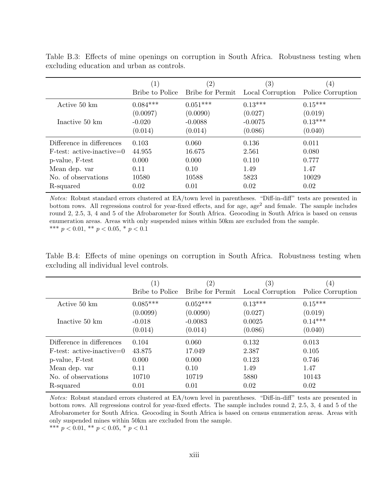|                             | $\left( 1\right)$ | $\left( 2\right)$ | $\left( 3\right)$ | $\left(4\right)$  |
|-----------------------------|-------------------|-------------------|-------------------|-------------------|
|                             | Bribe to Police   | Bribe for Permit  | Local Corruption  | Police Corruption |
| Active 50 km                | $0.084***$        | $0.051***$        | $0.13***$         | $0.15***$         |
|                             | (0.0097)          | (0.0090)          | (0.027)           | (0.019)           |
| Inactive 50 km              | $-0.020$          | $-0.0088$         | $-0.0075$         | $0.13***$         |
|                             | (0.014)           | (0.014)           | (0.086)           | (0.040)           |
| Difference in differences   | 0.103             | 0.060             | 0.136             | 0.011             |
| $F-test: active-inactive=0$ | 44.955            | 16.675            | 2.561             | 0.080             |
| p-value, F-test             | 0.000             | 0.000             | 0.110             | 0.777             |
| Mean dep. var               | 0.11              | 0.10              | 1.49              | 1.47              |
| No. of observations         | 10580             | 10588             | 5823              | 10029             |
| R-squared                   | 0.02              | 0.01              | 0.02              | 0.02              |

Table B.3: Effects of mine openings on corruption in South Africa. Robustness testing when excluding education and urban as controls.

Notes: Robust standard errors clustered at EA/town level in parentheses. "Diff-in-diff" tests are presented in bottom rows. All regressions control for year-fixed effects, and for age, age<sup>2</sup> and female. The sample includes round 2, 2.5, 3, 4 and 5 of the Afrobarometer for South Africa. Geocoding in South Africa is based on census enumeration areas. Areas with only suspended mines within 50km are excluded from the sample. \*\*\*  $p < 0.01$ , \*\*  $p < 0.05$ , \*  $p < 0.1$ 

Table B.4: Effects of mine openings on corruption in South Africa. Robustness testing when excluding all individual level controls.

|                             | $\left(1\right)$ | $\left( 2\right)$ | $\left( 3\right)$ | $\left(4\right)$  |
|-----------------------------|------------------|-------------------|-------------------|-------------------|
|                             | Bribe to Police  | Bribe for Permit  | Local Corruption  | Police Corruption |
| Active 50 km                | $0.085***$       | $0.052***$        | $0.13***$         | $0.15***$         |
|                             | (0.0099)         | (0.0090)          | (0.027)           | (0.019)           |
| Inactive 50 km              | $-0.018$         | $-0.0083$         | 0.0025            | $0.14***$         |
|                             | (0.014)          | (0.014)           | (0.086)           | (0.040)           |
| Difference in differences   | 0.104            | 0.060             | 0.132             | 0.013             |
| $F-test: active-inactive=0$ | 43.875           | 17.049            | 2.387             | 0.105             |
| p-value, F-test             | 0.000            | 0.000             | 0.123             | 0.746             |
| Mean dep. var               | 0.11             | 0.10              | 1.49              | 1.47              |
| No. of observations         | 10710            | 10719             | 5880              | 10143             |
| R-squared                   | 0.01             | 0.01              | 0.02              | 0.02              |

Notes: Robust standard errors clustered at EA/town level in parentheses. "Diff-in-diff" tests are presented in bottom rows. All regressions control for year-fixed effects. The sample includes round 2, 2.5, 3, 4 and 5 of the Afrobarometer for South Africa. Geocoding in South Africa is based on census enumeration areas. Areas with only suspended mines within 50km are excluded from the sample.

\*\*\*  $p < 0.01$ , \*\*  $p < 0.05$ , \*  $p < 0.1$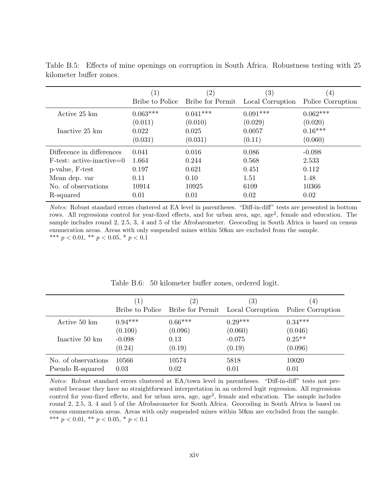|                             | $\left( 1\right)$ | $^{\prime}2)$    | $\left( 3\right)$ | $\left(4\right)$  |
|-----------------------------|-------------------|------------------|-------------------|-------------------|
|                             | Bribe to Police   | Bribe for Permit | Local Corruption  | Police Corruption |
| Active 25 km                | $0.063***$        | $0.041***$       | $0.091***$        | $0.062***$        |
|                             | (0.011)           | (0.010)          | (0.029)           | (0.020)           |
| Inactive 25 km              | 0.022             | 0.025            | 0.0057            | $0.16***$         |
|                             | (0.031)           | (0.031)          | (0.11)            | (0.060)           |
| Difference in differences   | 0.041             | 0.016            | 0.086             | $-0.098$          |
| $F-test: active-inactive=0$ | 1.664             | 0.244            | 0.568             | 2.533             |
| p-value, F-test             | 0.197             | 0.621            | 0.451             | 0.112             |
| Mean dep. var               | 0.11              | 0.10             | 1.51              | 1.48              |
| No. of observations         | 10914             | 10925            | 6109              | 10366             |
| R-squared                   | 0.01              | 0.01             | 0.02              | 0.02              |

Table B.5: Effects of mine openings on corruption in South Africa. Robustness testing with 25 kilometer buffer zones.

Notes: Robust standard errors clustered at EA level in parentheses. "Diff-in-diff" tests are presented in bottom rows. All regressions control for year-fixed effects, and for urban area, age, age<sup>2</sup>, female and education. The sample includes round 2, 2.5, 3, 4 and 5 of the Afrobarometer. Geocoding in South Africa is based on census enumeration areas. Areas with only suspended mines within 50km are excluded from the sample. \*\*\*  $p < 0.01$ , \*\*  $p < 0.05$ , \*  $p < 0.1$ 

|                                         | (1)                                        | $\left( 2\right)$<br>Bribe to Police Bribe for Permit | $\left( 3\right)$<br>Local Corruption      | $\left(4\right)$<br>Police Corruption       |
|-----------------------------------------|--------------------------------------------|-------------------------------------------------------|--------------------------------------------|---------------------------------------------|
| Active 50 km<br>Inactive 50 km          | $0.94***$<br>(0.100)<br>$-0.098$<br>(0.24) | $0.66***$<br>(0.096)<br>0.13<br>(0.19)                | $0.29***$<br>(0.060)<br>$-0.075$<br>(0.19) | $0.34***$<br>(0.046)<br>$0.25**$<br>(0.096) |
| No. of observations<br>Pseudo R-squared | 10566<br>0.03                              | 10574<br>0.02                                         | 5818<br>0.01                               | 10020<br>0.01                               |

Table B.6: 50 kilometer buffer zones, ordered logit.

Notes: Robust standard errors clustered at EA/town level in parentheses. "Diff-in-diff" tests not presented because they have no straightforward interpretation in an ordered logit regression. All regressions control for year-fixed effects, and for urban area, age, age<sup>2</sup>, female and education. The sample includes round 2, 2.5, 3, 4 and 5 of the Afrobarometer for South Africa. Geocoding in South Africa is based on census enumeration areas. Areas with only suspended mines within 50km are excluded from the sample. \*\*\*  $p < 0.01$ , \*\*  $p < 0.05$ , \*  $p < 0.1$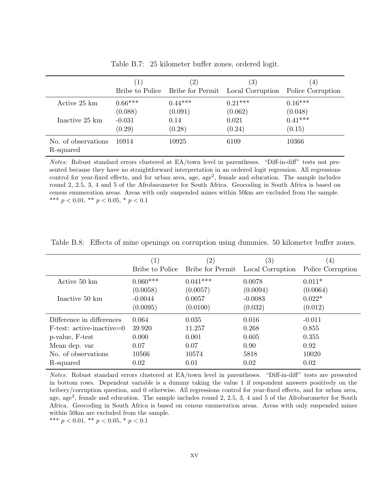|                                  | $\left  \right $ | $\left(2\right)$ | $^{\prime}3)$                                     | $\left(4\right)$  |
|----------------------------------|------------------|------------------|---------------------------------------------------|-------------------|
|                                  |                  |                  | Bribe to Police Bribe for Permit Local Corruption | Police Corruption |
| Active 25 km                     | $0.66***$        | $0.44***$        | $0.21***$                                         | $0.16***$         |
|                                  | (0.088)          | (0.091)          | (0.062)                                           | (0.048)           |
| Inactive 25 km                   | $-0.031$         | 0.14             | 0.021                                             | $0.41***$         |
|                                  | (0.29)           | (0.28)           | (0.24)                                            | (0.15)            |
| No. of observations<br>R-squared | 10914            | 10925            | 6109                                              | 10366             |

Table B.7: 25 kilometer buffer zones, ordered logit.

Notes: Robust standard errors clustered at EA/town level in parentheses. "Diff-in-diff" tests not presented because they have no straightforward interpretation in an ordered logit regression. All regressions control for year-fixed effects, and for urban area, age, age<sup>2</sup>, female and education. The sample includes round 2, 2.5, 3, 4 and 5 of the Afrobarometer for South Africa. Geocoding in South Africa is based on census enumeration areas. Areas with only suspended mines within 50km are excluded from the sample. \*\*\*  $p < 0.01$ , \*\*  $p < 0.05$ , \*  $p < 0.1$ 

|                             | $\left(1\right)$ | $^{\prime}2)$    | $\left(3\right)$ | $\left( 4\right)$ |
|-----------------------------|------------------|------------------|------------------|-------------------|
|                             | Bribe to Police  | Bribe for Permit | Local Corruption | Police Corruption |
| Active 50 km                | $0.060***$       | $0.041***$       | 0.0078           | $0.011*$          |
|                             | (0.0058)         | (0.0057)         | (0.0094)         | (0.0064)          |
| Inactive 50 km              | $-0.0044$        | 0.0057           | $-0.0083$        | $0.022*$          |
|                             | (0.0095)         | (0.0100)         | (0.032)          | (0.012)           |
| Difference in differences   | 0.064            | 0.035            | 0.016            | $-0.011$          |
| $F-test: active-inactive=0$ | 39.920           | 11.257           | 0.268            | 0.855             |
| p-value, F-test             | 0.000            | 0.001            | 0.605            | 0.355             |
| Mean dep. var               | 0.07             | 0.07             | 0.90             | 0.92              |
| No. of observations         | 10566            | 10574            | 5818             | 10020             |
| R-squared                   | 0.02             | 0.01             | 0.02             | 0.02              |

Table B.8: Effects of mine openings on corruption using dummies. 50 kilometer buffer zones.

Notes: Robust standard errors clustered at EA/town level in parentheses. "Diff-in-diff" tests are presented in bottom rows. Dependent variable is a dummy taking the value 1 if respondent answers positively on the bribery/corruption question, and 0 otherwise. All regressions control for year-fixed effects, and for urban area, age, age<sup>2</sup>, female and education. The sample includes round 2, 2.5, 3, 4 and 5 of the Afrobarometer for South Africa. Geocoding in South Africa is based on census enumeration areas. Areas with only suspended mines within 50km are excluded from the sample.

\*\*\*  $p < 0.01$ , \*\*  $p < 0.05$ , \*  $p < 0.1$